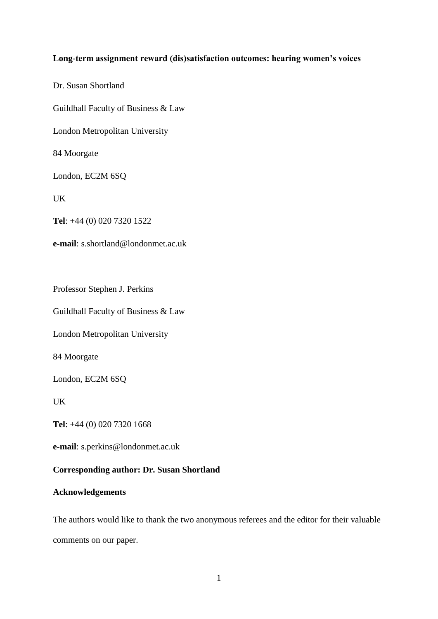# **Long-term assignment reward (dis)satisfaction outcomes: hearing women's voices**

Dr. Susan Shortland

Guildhall Faculty of Business & Law

London Metropolitan University

84 Moorgate

London, EC2M 6SQ

UK

**Tel**: +44 (0) 020 7320 1522

**e-mail**: s.shortland@londonmet.ac.uk

Professor Stephen J. Perkins

Guildhall Faculty of Business & Law

London Metropolitan University

84 Moorgate

London, EC2M 6SQ

UK

**Tel**: +44 (0) 020 7320 1668

**e-mail**: s.perkins@londonmet.ac.uk

# **Corresponding author: Dr. Susan Shortland**

# **Acknowledgements**

The authors would like to thank the two anonymous referees and the editor for their valuable comments on our paper.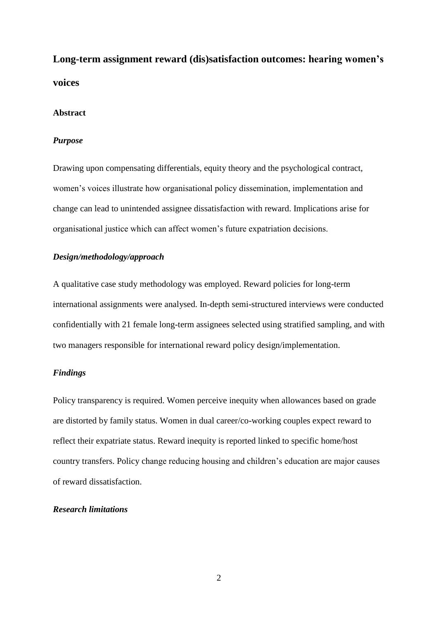# **Long-term assignment reward (dis)satisfaction outcomes: hearing women's voices**

#### **Abstract**

#### *Purpose*

Drawing upon compensating differentials, equity theory and the psychological contract, women's voices illustrate how organisational policy dissemination, implementation and change can lead to unintended assignee dissatisfaction with reward. Implications arise for organisational justice which can affect women's future expatriation decisions.

# *Design/methodology/approach*

A qualitative case study methodology was employed. Reward policies for long-term international assignments were analysed. In-depth semi-structured interviews were conducted confidentially with 21 female long-term assignees selected using stratified sampling, and with two managers responsible for international reward policy design/implementation.

#### *Findings*

Policy transparency is required. Women perceive inequity when allowances based on grade are distorted by family status. Women in dual career/co-working couples expect reward to reflect their expatriate status. Reward inequity is reported linked to specific home/host country transfers. Policy change reducing housing and children's education are major causes of reward dissatisfaction.

#### *Research limitations*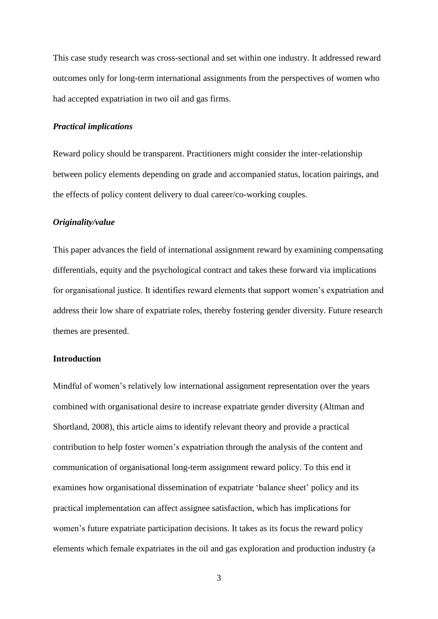This case study research was cross-sectional and set within one industry. It addressed reward outcomes only for long-term international assignments from the perspectives of women who had accepted expatriation in two oil and gas firms.

#### *Practical implications*

Reward policy should be transparent. Practitioners might consider the inter-relationship between policy elements depending on grade and accompanied status, location pairings, and the effects of policy content delivery to dual career/co-working couples.

#### *Originality/value*

This paper advances the field of international assignment reward by examining compensating differentials, equity and the psychological contract and takes these forward via implications for organisational justice. It identifies reward elements that support women's expatriation and address their low share of expatriate roles, thereby fostering gender diversity. Future research themes are presented.

# **Introduction**

Mindful of women's relatively low international assignment representation over the years combined with organisational desire to increase expatriate gender diversity (Altman and Shortland, 2008), this article aims to identify relevant theory and provide a practical contribution to help foster women's expatriation through the analysis of the content and communication of organisational long-term assignment reward policy. To this end it examines how organisational dissemination of expatriate 'balance sheet' policy and its practical implementation can affect assignee satisfaction, which has implications for women's future expatriate participation decisions. It takes as its focus the reward policy elements which female expatriates in the oil and gas exploration and production industry (a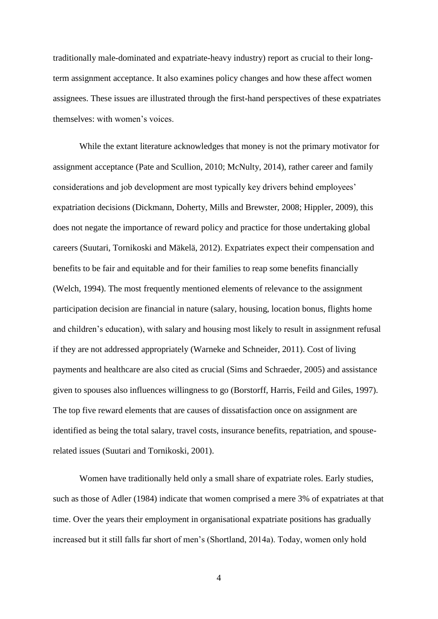traditionally male-dominated and expatriate-heavy industry) report as crucial to their longterm assignment acceptance. It also examines policy changes and how these affect women assignees. These issues are illustrated through the first-hand perspectives of these expatriates themselves: with women's voices.

While the extant literature acknowledges that money is not the primary motivator for assignment acceptance (Pate and Scullion, 2010; McNulty, 2014), rather career and family considerations and job development are most typically key drivers behind employees' expatriation decisions (Dickmann, Doherty, Mills and Brewster, 2008; Hippler, 2009), this does not negate the importance of reward policy and practice for those undertaking global careers (Suutari, Tornikoski and Mäkelä, 2012). Expatriates expect their compensation and benefits to be fair and equitable and for their families to reap some benefits financially (Welch, 1994). The most frequently mentioned elements of relevance to the assignment participation decision are financial in nature (salary, housing, location bonus, flights home and children's education), with salary and housing most likely to result in assignment refusal if they are not addressed appropriately (Warneke and Schneider, 2011). Cost of living payments and healthcare are also cited as crucial (Sims and Schraeder, 2005) and assistance given to spouses also influences willingness to go (Borstorff, Harris, Feild and Giles, 1997). The top five reward elements that are causes of dissatisfaction once on assignment are identified as being the total salary, travel costs, insurance benefits, repatriation, and spouserelated issues (Suutari and Tornikoski, 2001).

Women have traditionally held only a small share of expatriate roles. Early studies, such as those of Adler (1984) indicate that women comprised a mere 3% of expatriates at that time. Over the years their employment in organisational expatriate positions has gradually increased but it still falls far short of men's (Shortland, 2014a). Today, women only hold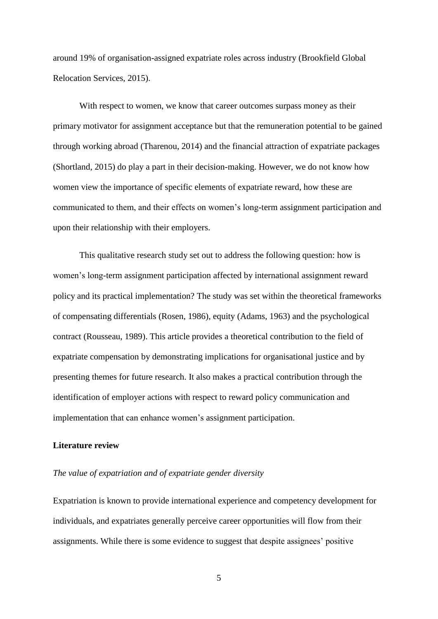around 19% of organisation-assigned expatriate roles across industry (Brookfield Global Relocation Services, 2015).

With respect to women, we know that career outcomes surpass money as their primary motivator for assignment acceptance but that the remuneration potential to be gained through working abroad (Tharenou, 2014) and the financial attraction of expatriate packages (Shortland, 2015) do play a part in their decision-making. However, we do not know how women view the importance of specific elements of expatriate reward, how these are communicated to them, and their effects on women's long-term assignment participation and upon their relationship with their employers.

This qualitative research study set out to address the following question: how is women's long-term assignment participation affected by international assignment reward policy and its practical implementation? The study was set within the theoretical frameworks of compensating differentials (Rosen, 1986), equity (Adams, 1963) and the psychological contract (Rousseau, 1989). This article provides a theoretical contribution to the field of expatriate compensation by demonstrating implications for organisational justice and by presenting themes for future research. It also makes a practical contribution through the identification of employer actions with respect to reward policy communication and implementation that can enhance women's assignment participation.

#### **Literature review**

#### *The value of expatriation and of expatriate gender diversity*

Expatriation is known to provide international experience and competency development for individuals, and expatriates generally perceive career opportunities will flow from their assignments. While there is some evidence to suggest that despite assignees' positive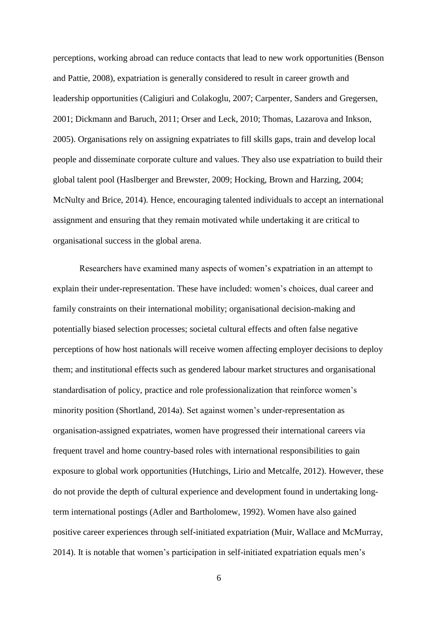perceptions, working abroad can reduce contacts that lead to new work opportunities (Benson and Pattie, 2008), expatriation is generally considered to result in career growth and leadership opportunities (Caligiuri and Colakoglu, 2007; Carpenter, Sanders and Gregersen, 2001; Dickmann and Baruch, 2011; Orser and Leck, 2010; Thomas, Lazarova and Inkson, 2005). Organisations rely on assigning expatriates to fill skills gaps, train and develop local people and disseminate corporate culture and values. They also use expatriation to build their global talent pool (Haslberger and Brewster, 2009; Hocking, Brown and Harzing, 2004; McNulty and Brice, 2014). Hence, encouraging talented individuals to accept an international assignment and ensuring that they remain motivated while undertaking it are critical to organisational success in the global arena.

Researchers have examined many aspects of women's expatriation in an attempt to explain their under-representation. These have included: women's choices, dual career and family constraints on their international mobility; organisational decision-making and potentially biased selection processes; societal cultural effects and often false negative perceptions of how host nationals will receive women affecting employer decisions to deploy them; and institutional effects such as gendered labour market structures and organisational standardisation of policy, practice and role professionalization that reinforce women's minority position (Shortland, 2014a). Set against women's under-representation as organisation-assigned expatriates, women have progressed their international careers via frequent travel and home country-based roles with international responsibilities to gain exposure to global work opportunities (Hutchings, Lirio and Metcalfe, 2012). However, these do not provide the depth of cultural experience and development found in undertaking longterm international postings (Adler and Bartholomew, 1992). Women have also gained positive career experiences through self-initiated expatriation (Muir, Wallace and McMurray, 2014). It is notable that women's participation in self-initiated expatriation equals men's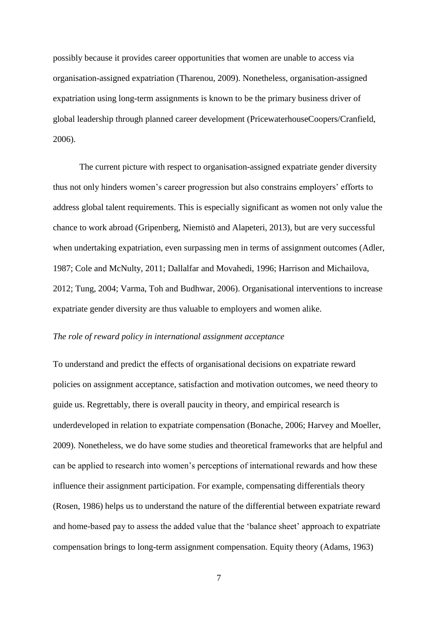possibly because it provides career opportunities that women are unable to access via organisation-assigned expatriation (Tharenou, 2009). Nonetheless, organisation-assigned expatriation using long-term assignments is known to be the primary business driver of global leadership through planned career development (PricewaterhouseCoopers/Cranfield, 2006).

The current picture with respect to organisation-assigned expatriate gender diversity thus not only hinders women's career progression but also constrains employers' efforts to address global talent requirements. This is especially significant as women not only value the chance to work abroad (Gripenberg, Niemistö and Alapeteri, 2013), but are very successful when undertaking expatriation, even surpassing men in terms of assignment outcomes (Adler, 1987; Cole and McNulty, 2011; Dallalfar and Movahedi, 1996; Harrison and Michailova, 2012; Tung, 2004; Varma, Toh and Budhwar, 2006). Organisational interventions to increase expatriate gender diversity are thus valuable to employers and women alike.

#### *The role of reward policy in international assignment acceptance*

To understand and predict the effects of organisational decisions on expatriate reward policies on assignment acceptance, satisfaction and motivation outcomes, we need theory to guide us. Regrettably, there is overall paucity in theory, and empirical research is underdeveloped in relation to expatriate compensation (Bonache, 2006; Harvey and Moeller, 2009). Nonetheless, we do have some studies and theoretical frameworks that are helpful and can be applied to research into women's perceptions of international rewards and how these influence their assignment participation. For example, compensating differentials theory (Rosen, 1986) helps us to understand the nature of the differential between expatriate reward and home-based pay to assess the added value that the 'balance sheet' approach to expatriate compensation brings to long-term assignment compensation. Equity theory (Adams, 1963)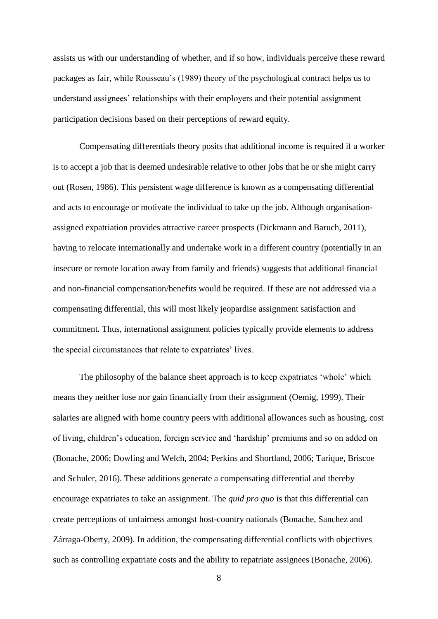assists us with our understanding of whether, and if so how, individuals perceive these reward packages as fair, while Rousseau's (1989) theory of the psychological contract helps us to understand assignees' relationships with their employers and their potential assignment participation decisions based on their perceptions of reward equity.

Compensating differentials theory posits that additional income is required if a worker is to accept a job that is deemed undesirable relative to other jobs that he or she might carry out (Rosen, 1986). This persistent wage difference is known as a compensating differential and acts to encourage or motivate the individual to take up the job. Although organisationassigned expatriation provides attractive career prospects (Dickmann and Baruch, 2011), having to relocate internationally and undertake work in a different country (potentially in an insecure or remote location away from family and friends) suggests that additional financial and non-financial compensation/benefits would be required. If these are not addressed via a compensating differential, this will most likely jeopardise assignment satisfaction and commitment. Thus, international assignment policies typically provide elements to address the special circumstances that relate to expatriates' lives.

The philosophy of the balance sheet approach is to keep expatriates 'whole' which means they neither lose nor gain financially from their assignment (Oemig, 1999). Their salaries are aligned with home country peers with additional allowances such as housing, cost of living, children's education, foreign service and 'hardship' premiums and so on added on (Bonache, 2006; Dowling and Welch, 2004; Perkins and Shortland, 2006; Tarique, Briscoe and Schuler, 2016). These additions generate a compensating differential and thereby encourage expatriates to take an assignment. The *quid pro quo* is that this differential can create perceptions of unfairness amongst host-country nationals (Bonache, Sanchez and Zárraga-Oberty, 2009). In addition, the compensating differential conflicts with objectives such as controlling expatriate costs and the ability to repatriate assignees (Bonache, 2006).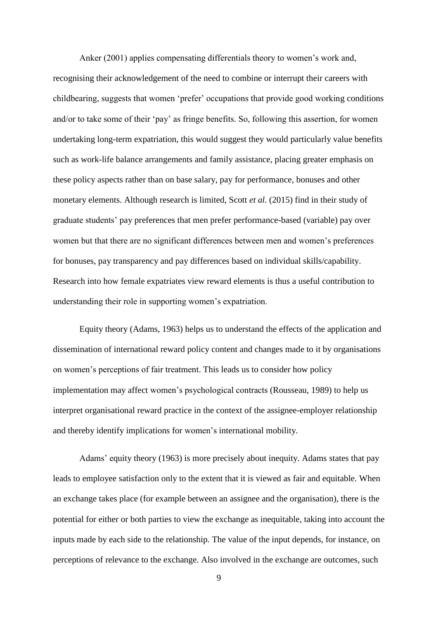Anker (2001) applies compensating differentials theory to women's work and, recognising their acknowledgement of the need to combine or interrupt their careers with childbearing, suggests that women 'prefer' occupations that provide good working conditions and/or to take some of their 'pay' as fringe benefits. So, following this assertion, for women undertaking long-term expatriation, this would suggest they would particularly value benefits such as work-life balance arrangements and family assistance, placing greater emphasis on these policy aspects rather than on base salary, pay for performance, bonuses and other monetary elements. Although research is limited, Scott *et al.* (2015) find in their study of graduate students' pay preferences that men prefer performance-based (variable) pay over women but that there are no significant differences between men and women's preferences for bonuses, pay transparency and pay differences based on individual skills/capability. Research into how female expatriates view reward elements is thus a useful contribution to understanding their role in supporting women's expatriation.

Equity theory (Adams, 1963) helps us to understand the effects of the application and dissemination of international reward policy content and changes made to it by organisations on women's perceptions of fair treatment. This leads us to consider how policy implementation may affect women's psychological contracts (Rousseau, 1989) to help us interpret organisational reward practice in the context of the assignee-employer relationship and thereby identify implications for women's international mobility.

Adams' equity theory (1963) is more precisely about inequity. Adams states that pay leads to employee satisfaction only to the extent that it is viewed as fair and equitable. When an exchange takes place (for example between an assignee and the organisation), there is the potential for either or both parties to view the exchange as inequitable, taking into account the inputs made by each side to the relationship. The value of the input depends, for instance, on perceptions of relevance to the exchange. Also involved in the exchange are outcomes, such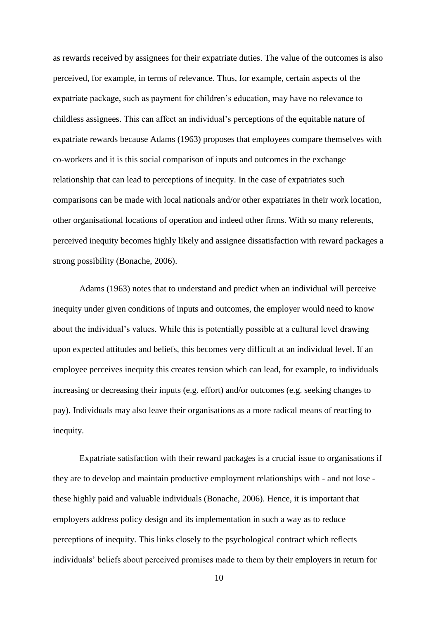as rewards received by assignees for their expatriate duties. The value of the outcomes is also perceived, for example, in terms of relevance. Thus, for example, certain aspects of the expatriate package, such as payment for children's education, may have no relevance to childless assignees. This can affect an individual's perceptions of the equitable nature of expatriate rewards because Adams (1963) proposes that employees compare themselves with co-workers and it is this social comparison of inputs and outcomes in the exchange relationship that can lead to perceptions of inequity. In the case of expatriates such comparisons can be made with local nationals and/or other expatriates in their work location, other organisational locations of operation and indeed other firms. With so many referents, perceived inequity becomes highly likely and assignee dissatisfaction with reward packages a strong possibility (Bonache, 2006).

Adams (1963) notes that to understand and predict when an individual will perceive inequity under given conditions of inputs and outcomes, the employer would need to know about the individual's values. While this is potentially possible at a cultural level drawing upon expected attitudes and beliefs, this becomes very difficult at an individual level. If an employee perceives inequity this creates tension which can lead, for example, to individuals increasing or decreasing their inputs (e.g. effort) and/or outcomes (e.g. seeking changes to pay). Individuals may also leave their organisations as a more radical means of reacting to inequity.

Expatriate satisfaction with their reward packages is a crucial issue to organisations if they are to develop and maintain productive employment relationships with - and not lose these highly paid and valuable individuals (Bonache, 2006). Hence, it is important that employers address policy design and its implementation in such a way as to reduce perceptions of inequity. This links closely to the psychological contract which reflects individuals' beliefs about perceived promises made to them by their employers in return for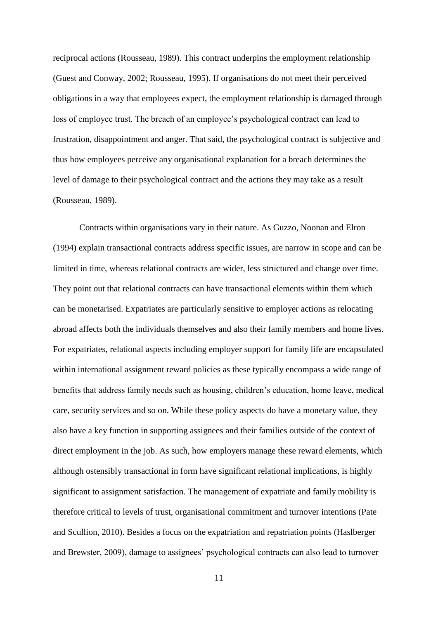reciprocal actions (Rousseau, 1989). This contract underpins the employment relationship (Guest and Conway, 2002; Rousseau, 1995). If organisations do not meet their perceived obligations in a way that employees expect, the employment relationship is damaged through loss of employee trust. The breach of an employee's psychological contract can lead to frustration, disappointment and anger. That said, the psychological contract is subjective and thus how employees perceive any organisational explanation for a breach determines the level of damage to their psychological contract and the actions they may take as a result (Rousseau, 1989).

Contracts within organisations vary in their nature. As Guzzo, Noonan and Elron (1994) explain transactional contracts address specific issues, are narrow in scope and can be limited in time, whereas relational contracts are wider, less structured and change over time. They point out that relational contracts can have transactional elements within them which can be monetarised. Expatriates are particularly sensitive to employer actions as relocating abroad affects both the individuals themselves and also their family members and home lives. For expatriates, relational aspects including employer support for family life are encapsulated within international assignment reward policies as these typically encompass a wide range of benefits that address family needs such as housing, children's education, home leave, medical care, security services and so on. While these policy aspects do have a monetary value, they also have a key function in supporting assignees and their families outside of the context of direct employment in the job. As such, how employers manage these reward elements, which although ostensibly transactional in form have significant relational implications, is highly significant to assignment satisfaction. The management of expatriate and family mobility is therefore critical to levels of trust, organisational commitment and turnover intentions (Pate and Scullion, 2010). Besides a focus on the expatriation and repatriation points (Haslberger and Brewster, 2009), damage to assignees' psychological contracts can also lead to turnover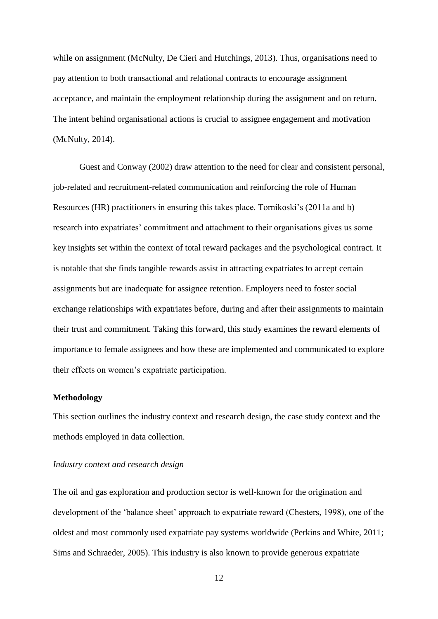while on assignment (McNulty, De Cieri and Hutchings, 2013). Thus, organisations need to pay attention to both transactional and relational contracts to encourage assignment acceptance, and maintain the employment relationship during the assignment and on return. The intent behind organisational actions is crucial to assignee engagement and motivation (McNulty, 2014).

Guest and Conway (2002) draw attention to the need for clear and consistent personal, job-related and recruitment-related communication and reinforcing the role of Human Resources (HR) practitioners in ensuring this takes place. Tornikoski's (2011a and b) research into expatriates' commitment and attachment to their organisations gives us some key insights set within the context of total reward packages and the psychological contract. It is notable that she finds tangible rewards assist in attracting expatriates to accept certain assignments but are inadequate for assignee retention. Employers need to foster social exchange relationships with expatriates before, during and after their assignments to maintain their trust and commitment. Taking this forward, this study examines the reward elements of importance to female assignees and how these are implemented and communicated to explore their effects on women's expatriate participation.

#### **Methodology**

This section outlines the industry context and research design, the case study context and the methods employed in data collection.

#### *Industry context and research design*

The oil and gas exploration and production sector is well-known for the origination and development of the 'balance sheet' approach to expatriate reward (Chesters, 1998), one of the oldest and most commonly used expatriate pay systems worldwide (Perkins and White, 2011; Sims and Schraeder, 2005). This industry is also known to provide generous expatriate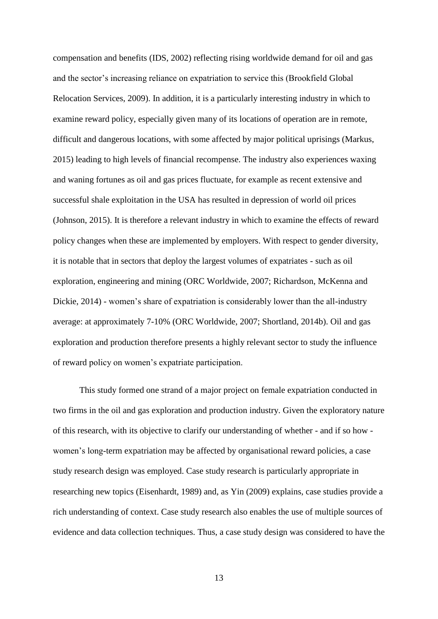compensation and benefits (IDS, 2002) reflecting rising worldwide demand for oil and gas and the sector's increasing reliance on expatriation to service this (Brookfield Global Relocation Services, 2009). In addition, it is a particularly interesting industry in which to examine reward policy, especially given many of its locations of operation are in remote, difficult and dangerous locations, with some affected by major political uprisings (Markus, 2015) leading to high levels of financial recompense. The industry also experiences waxing and waning fortunes as oil and gas prices fluctuate, for example as recent extensive and successful shale exploitation in the USA has resulted in depression of world oil prices (Johnson, 2015). It is therefore a relevant industry in which to examine the effects of reward policy changes when these are implemented by employers. With respect to gender diversity, it is notable that in sectors that deploy the largest volumes of expatriates - such as oil exploration, engineering and mining (ORC Worldwide, 2007; Richardson, McKenna and Dickie, 2014) - women's share of expatriation is considerably lower than the all-industry average: at approximately 7-10% (ORC Worldwide, 2007; Shortland, 2014b). Oil and gas exploration and production therefore presents a highly relevant sector to study the influence of reward policy on women's expatriate participation.

This study formed one strand of a major project on female expatriation conducted in two firms in the oil and gas exploration and production industry. Given the exploratory nature of this research, with its objective to clarify our understanding of whether - and if so how women's long-term expatriation may be affected by organisational reward policies, a case study research design was employed. Case study research is particularly appropriate in researching new topics (Eisenhardt, 1989) and, as Yin (2009) explains, case studies provide a rich understanding of context. Case study research also enables the use of multiple sources of evidence and data collection techniques. Thus, a case study design was considered to have the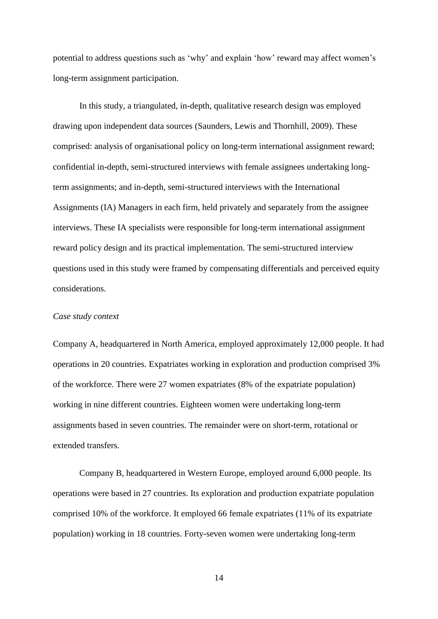potential to address questions such as 'why' and explain 'how' reward may affect women's long-term assignment participation.

In this study, a triangulated, in-depth, qualitative research design was employed drawing upon independent data sources (Saunders, Lewis and Thornhill, 2009). These comprised: analysis of organisational policy on long-term international assignment reward; confidential in-depth, semi-structured interviews with female assignees undertaking longterm assignments; and in-depth, semi-structured interviews with the International Assignments (IA) Managers in each firm, held privately and separately from the assignee interviews. These IA specialists were responsible for long-term international assignment reward policy design and its practical implementation. The semi-structured interview questions used in this study were framed by compensating differentials and perceived equity considerations.

#### *Case study context*

Company A, headquartered in North America, employed approximately 12,000 people. It had operations in 20 countries. Expatriates working in exploration and production comprised 3% of the workforce. There were 27 women expatriates (8% of the expatriate population) working in nine different countries. Eighteen women were undertaking long-term assignments based in seven countries. The remainder were on short-term, rotational or extended transfers.

Company B, headquartered in Western Europe, employed around 6,000 people. Its operations were based in 27 countries. Its exploration and production expatriate population comprised 10% of the workforce. It employed 66 female expatriates (11% of its expatriate population) working in 18 countries. Forty-seven women were undertaking long-term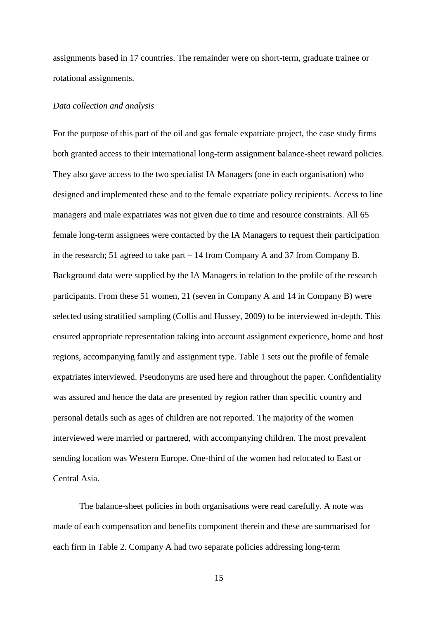assignments based in 17 countries. The remainder were on short-term, graduate trainee or rotational assignments.

#### *Data collection and analysis*

For the purpose of this part of the oil and gas female expatriate project, the case study firms both granted access to their international long-term assignment balance-sheet reward policies. They also gave access to the two specialist IA Managers (one in each organisation) who designed and implemented these and to the female expatriate policy recipients. Access to line managers and male expatriates was not given due to time and resource constraints. All 65 female long-term assignees were contacted by the IA Managers to request their participation in the research; 51 agreed to take part – 14 from Company A and 37 from Company B. Background data were supplied by the IA Managers in relation to the profile of the research participants. From these 51 women, 21 (seven in Company A and 14 in Company B) were selected using stratified sampling (Collis and Hussey, 2009) to be interviewed in-depth. This ensured appropriate representation taking into account assignment experience, home and host regions, accompanying family and assignment type. Table 1 sets out the profile of female expatriates interviewed. Pseudonyms are used here and throughout the paper. Confidentiality was assured and hence the data are presented by region rather than specific country and personal details such as ages of children are not reported. The majority of the women interviewed were married or partnered, with accompanying children. The most prevalent sending location was Western Europe. One-third of the women had relocated to East or Central Asia.

The balance-sheet policies in both organisations were read carefully. A note was made of each compensation and benefits component therein and these are summarised for each firm in Table 2. Company A had two separate policies addressing long-term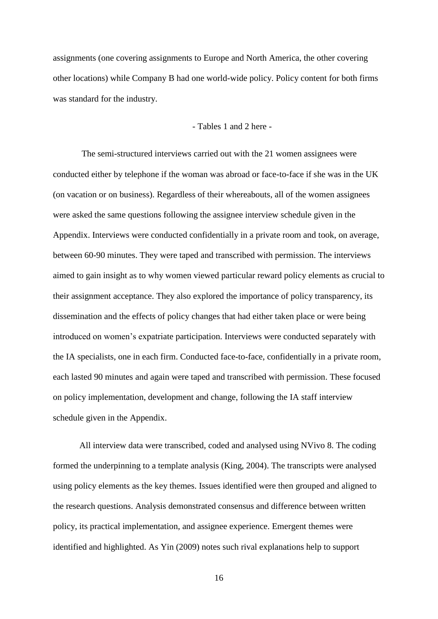assignments (one covering assignments to Europe and North America, the other covering other locations) while Company B had one world-wide policy. Policy content for both firms was standard for the industry.

- Tables 1 and 2 here -

The semi-structured interviews carried out with the 21 women assignees were conducted either by telephone if the woman was abroad or face-to-face if she was in the UK (on vacation or on business). Regardless of their whereabouts, all of the women assignees were asked the same questions following the assignee interview schedule given in the Appendix. Interviews were conducted confidentially in a private room and took, on average, between 60-90 minutes. They were taped and transcribed with permission. The interviews aimed to gain insight as to why women viewed particular reward policy elements as crucial to their assignment acceptance. They also explored the importance of policy transparency, its dissemination and the effects of policy changes that had either taken place or were being introduced on women's expatriate participation. Interviews were conducted separately with the IA specialists, one in each firm. Conducted face-to-face, confidentially in a private room, each lasted 90 minutes and again were taped and transcribed with permission. These focused on policy implementation, development and change, following the IA staff interview schedule given in the Appendix.

All interview data were transcribed, coded and analysed using NVivo 8. The coding formed the underpinning to a template analysis (King, 2004). The transcripts were analysed using policy elements as the key themes. Issues identified were then grouped and aligned to the research questions. Analysis demonstrated consensus and difference between written policy, its practical implementation, and assignee experience. Emergent themes were identified and highlighted. As Yin (2009) notes such rival explanations help to support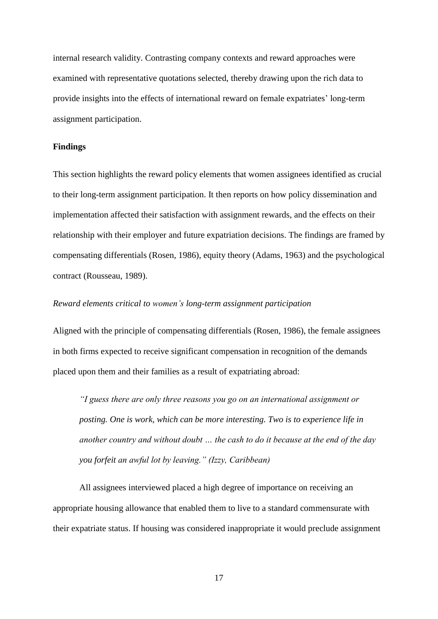internal research validity. Contrasting company contexts and reward approaches were examined with representative quotations selected, thereby drawing upon the rich data to provide insights into the effects of international reward on female expatriates' long-term assignment participation.

#### **Findings**

This section highlights the reward policy elements that women assignees identified as crucial to their long-term assignment participation. It then reports on how policy dissemination and implementation affected their satisfaction with assignment rewards, and the effects on their relationship with their employer and future expatriation decisions. The findings are framed by compensating differentials (Rosen, 1986), equity theory (Adams, 1963) and the psychological contract (Rousseau, 1989).

#### *Reward elements critical to women's long-term assignment participation*

Aligned with the principle of compensating differentials (Rosen, 1986), the female assignees in both firms expected to receive significant compensation in recognition of the demands placed upon them and their families as a result of expatriating abroad:

*"I guess there are only three reasons you go on an international assignment or posting. One is work, which can be more interesting. Two is to experience life in another country and without doubt … the cash to do it because at the end of the day you forfeit an awful lot by leaving." (Izzy, Caribbean)* 

All assignees interviewed placed a high degree of importance on receiving an appropriate housing allowance that enabled them to live to a standard commensurate with their expatriate status. If housing was considered inappropriate it would preclude assignment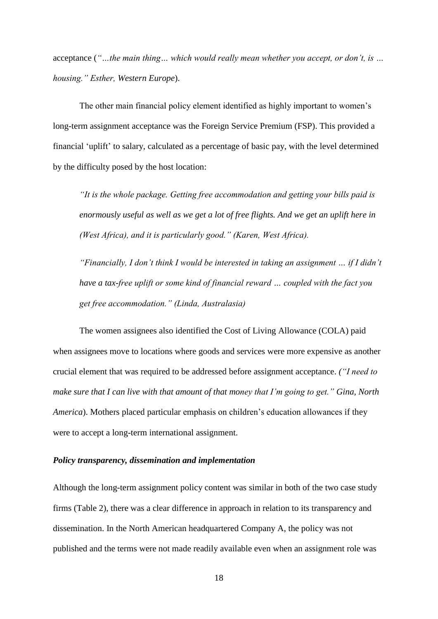acceptance (*"…the main thing… which would really mean whether you accept, or don't, is … housing." Esther, Western Europe*).

The other main financial policy element identified as highly important to women's long-term assignment acceptance was the Foreign Service Premium (FSP). This provided a financial 'uplift' to salary, calculated as a percentage of basic pay, with the level determined by the difficulty posed by the host location:

*"It is the whole package. Getting free accommodation and getting your bills paid is enormously useful as well as we get a lot of free flights. And we get an uplift here in (West Africa), and it is particularly good." (Karen, West Africa).*

*"Financially, I don't think I would be interested in taking an assignment … if I didn't have a tax-free uplift or some kind of financial reward … coupled with the fact you get free accommodation." (Linda, Australasia)*

The women assignees also identified the Cost of Living Allowance (COLA) paid when assignees move to locations where goods and services were more expensive as another crucial element that was required to be addressed before assignment acceptance. *("I need to make sure that I can live with that amount of that money that I'm going to get." Gina, North America*). Mothers placed particular emphasis on children's education allowances if they were to accept a long-term international assignment.

#### *Policy transparency, dissemination and implementation*

Although the long-term assignment policy content was similar in both of the two case study firms (Table 2), there was a clear difference in approach in relation to its transparency and dissemination. In the North American headquartered Company A, the policy was not published and the terms were not made readily available even when an assignment role was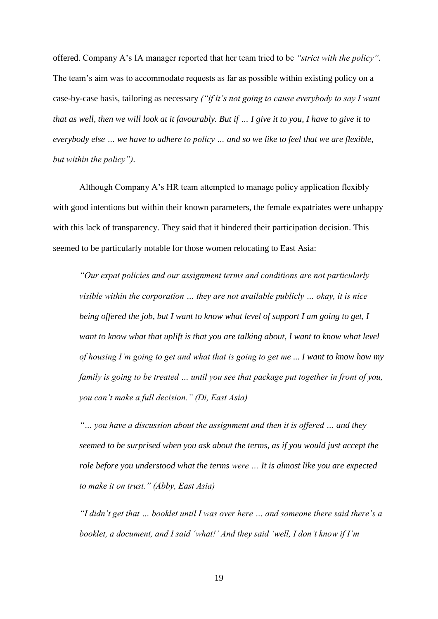offered. Company A's IA manager reported that her team tried to be *"strict with the policy"*. The team's aim was to accommodate requests as far as possible within existing policy on a case-by-case basis, tailoring as necessary *("if it's not going to cause everybody to say I want that as well, then we will look at it favourably. But if … I give it to you, I have to give it to everybody else … we have to adhere to policy … and so we like to feel that we are flexible, but within the policy")*.

Although Company A's HR team attempted to manage policy application flexibly with good intentions but within their known parameters, the female expatriates were unhappy with this lack of transparency. They said that it hindered their participation decision. This seemed to be particularly notable for those women relocating to East Asia:

*"Our expat policies and our assignment terms and conditions are not particularly visible within the corporation … they are not available publicly … okay, it is nice being offered the job, but I want to know what level of support I am going to get, I want to know what that uplift is that you are talking about, I want to know what level of housing I'm going to get and what that is going to get me ... I want to know how my family is going to be treated … until you see that package put together in front of you, you can't make a full decision." (Di, East Asia)*

*"… you have a discussion about the assignment and then it is offered … and they seemed to be surprised when you ask about the terms, as if you would just accept the role before you understood what the terms were … It is almost like you are expected to make it on trust." (Abby, East Asia)*

*"I didn't get that … booklet until I was over here … and someone there said there's a booklet, a document, and I said 'what!' And they said 'well, I don't know if I'm*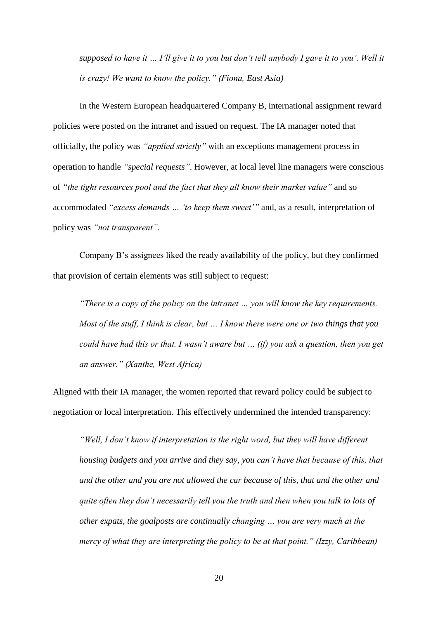*supposed to have it … I'll give it to you but don't tell anybody I gave it to you'. Well it is crazy! We want to know the policy." (Fiona, East Asia)*

In the Western European headquartered Company B, international assignment reward policies were posted on the intranet and issued on request. The IA manager noted that officially, the policy was *"applied strictly"* with an exceptions management process in operation to handle *"special requests"*. However, at local level line managers were conscious of *"the tight resources pool and the fact that they all know their market value"* and so accommodated *"excess demands … 'to keep them sweet'"* and, as a result, interpretation of policy was *"not transparent"*.

Company B's assignees liked the ready availability of the policy, but they confirmed that provision of certain elements was still subject to request:

*"There is a copy of the policy on the intranet … you will know the key requirements. Most of the stuff, I think is clear, but … I know there were one or two things that you could have had this or that. I wasn't aware but … (if) you ask a question, then you get an answer." (Xanthe, West Africa)* 

Aligned with their IA manager, the women reported that reward policy could be subject to negotiation or local interpretation. This effectively undermined the intended transparency:

*"Well, I don't know if interpretation is the right word, but they will have different housing budgets and you arrive and they say, you can't have that because of this, that and the other and you are not allowed the car because of this, that and the other and quite often they don't necessarily tell you the truth and then when you talk to lots of other expats, the goalposts are continually changing … you are very much at the mercy of what they are interpreting the policy to be at that point." (Izzy, Caribbean)*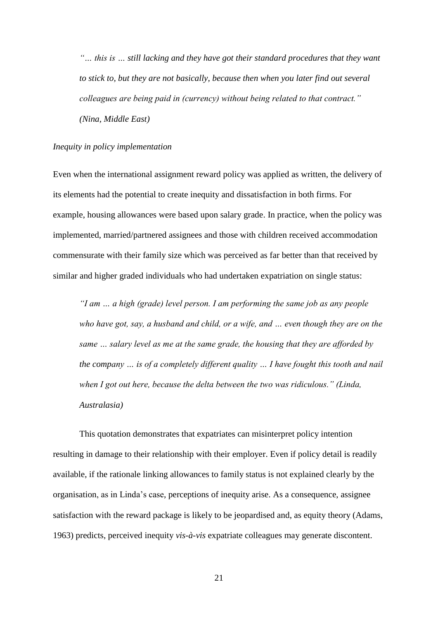*"… this is … still lacking and they have got their standard procedures that they want to stick to, but they are not basically, because then when you later find out several colleagues are being paid in (currency) without being related to that contract." (Nina, Middle East)*

#### *Inequity in policy implementation*

Even when the international assignment reward policy was applied as written, the delivery of its elements had the potential to create inequity and dissatisfaction in both firms. For example, housing allowances were based upon salary grade. In practice, when the policy was implemented, married/partnered assignees and those with children received accommodation commensurate with their family size which was perceived as far better than that received by similar and higher graded individuals who had undertaken expatriation on single status:

*"I am … a high (grade) level person. I am performing the same job as any people who have got, say, a husband and child, or a wife, and … even though they are on the same … salary level as me at the same grade, the housing that they are afforded by the company … is of a completely different quality … I have fought this tooth and nail when I got out here, because the delta between the two was ridiculous." (Linda, Australasia)* 

This quotation demonstrates that expatriates can misinterpret policy intention resulting in damage to their relationship with their employer. Even if policy detail is readily available, if the rationale linking allowances to family status is not explained clearly by the organisation, as in Linda's case, perceptions of inequity arise. As a consequence, assignee satisfaction with the reward package is likely to be jeopardised and, as equity theory (Adams, 1963) predicts, perceived inequity *vis-à-vis* expatriate colleagues may generate discontent.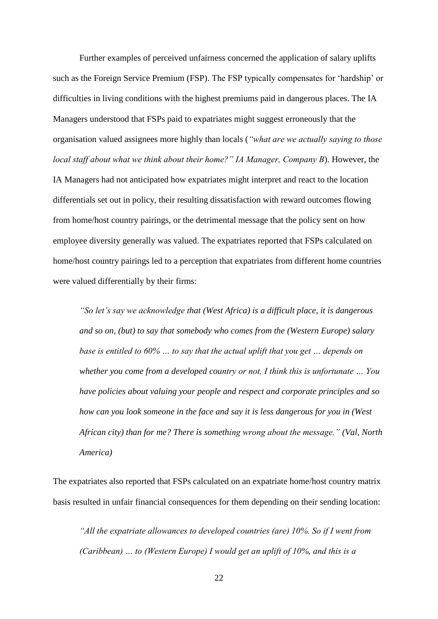Further examples of perceived unfairness concerned the application of salary uplifts such as the Foreign Service Premium (FSP). The FSP typically compensates for 'hardship' or difficulties in living conditions with the highest premiums paid in dangerous places. The IA Managers understood that FSPs paid to expatriates might suggest erroneously that the organisation valued assignees more highly than locals (*"what are we actually saying to those local staff about what we think about their home?" IA Manager, Company B*). However, the IA Managers had not anticipated how expatriates might interpret and react to the location differentials set out in policy, their resulting dissatisfaction with reward outcomes flowing from home/host country pairings, or the detrimental message that the policy sent on how employee diversity generally was valued. The expatriates reported that FSPs calculated on home/host country pairings led to a perception that expatriates from different home countries were valued differentially by their firms:

*"So let's say we acknowledge that (West Africa) is a difficult place, it is dangerous and so on, (but) to say that somebody who comes from the (Western Europe) salary base is entitled to 60% … to say that the actual uplift that you get … depends on whether you come from a developed country or not, I think this is unfortunate … You have policies about valuing your people and respect and corporate principles and so how can you look someone in the face and say it is less dangerous for you in (West African city) than for me? There is something wrong about the message." (Val, North America)*

The expatriates also reported that FSPs calculated on an expatriate home/host country matrix basis resulted in unfair financial consequences for them depending on their sending location:

*"All the expatriate allowances to developed countries (are) 10%. So if I went from (Caribbean) … to (Western Europe) I would get an uplift of 10%, and this is a*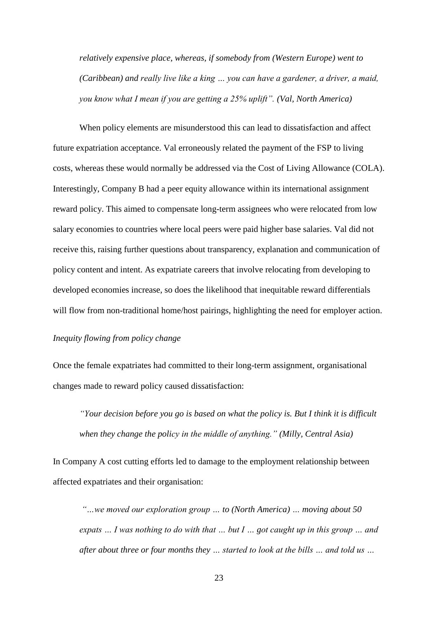*relatively expensive place, whereas, if somebody from (Western Europe) went to (Caribbean) and really live like a king … you can have a gardener, a driver, a maid, you know what I mean if you are getting a 25% uplift". (Val, North America)*

When policy elements are misunderstood this can lead to dissatisfaction and affect future expatriation acceptance. Val erroneously related the payment of the FSP to living costs, whereas these would normally be addressed via the Cost of Living Allowance (COLA). Interestingly, Company B had a peer equity allowance within its international assignment reward policy. This aimed to compensate long-term assignees who were relocated from low salary economies to countries where local peers were paid higher base salaries. Val did not receive this, raising further questions about transparency, explanation and communication of policy content and intent. As expatriate careers that involve relocating from developing to developed economies increase, so does the likelihood that inequitable reward differentials will flow from non-traditional home/host pairings, highlighting the need for employer action.

### *Inequity flowing from policy change*

Once the female expatriates had committed to their long-term assignment, organisational changes made to reward policy caused dissatisfaction:

*"Your decision before you go is based on what the policy is. But I think it is difficult when they change the policy in the middle of anything." (Milly, Central Asia)*

In Company A cost cutting efforts led to damage to the employment relationship between affected expatriates and their organisation:

*"…we moved our exploration group … to (North America) … moving about 50 expats … I was nothing to do with that … but I … got caught up in this group … and after about three or four months they … started to look at the bills … and told us …*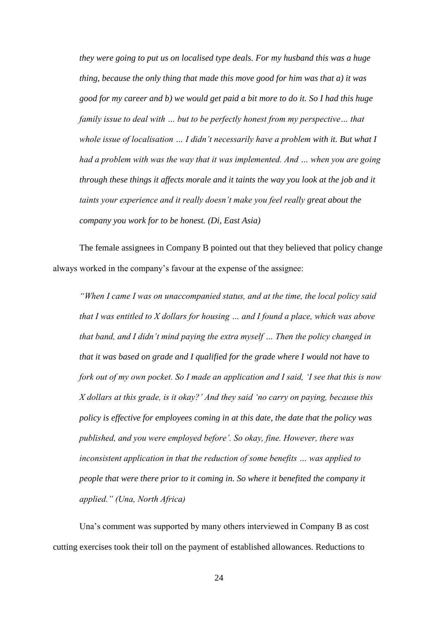*they were going to put us on localised type deals. For my husband this was a huge thing, because the only thing that made this move good for him was that a) it was good for my career and b) we would get paid a bit more to do it. So I had this huge family issue to deal with … but to be perfectly honest from my perspective… that whole issue of localisation … I didn't necessarily have a problem with it. But what I had a problem with was the way that it was implemented. And … when you are going through these things it affects morale and it taints the way you look at the job and it taints your experience and it really doesn't make you feel really great about the company you work for to be honest. (Di, East Asia)*

The female assignees in Company B pointed out that they believed that policy change always worked in the company's favour at the expense of the assignee:

*"When I came I was on unaccompanied status, and at the time, the local policy said that I was entitled to X dollars for housing … and I found a place, which was above that band, and I didn't mind paying the extra myself … Then the policy changed in that it was based on grade and I qualified for the grade where I would not have to fork out of my own pocket. So I made an application and I said, 'I see that this is now X dollars at this grade, is it okay?' And they said 'no carry on paying, because this policy is effective for employees coming in at this date, the date that the policy was published, and you were employed before'. So okay, fine. However, there was inconsistent application in that the reduction of some benefits … was applied to people that were there prior to it coming in. So where it benefited the company it applied." (Una, North Africa)*

Una's comment was supported by many others interviewed in Company B as cost cutting exercises took their toll on the payment of established allowances. Reductions to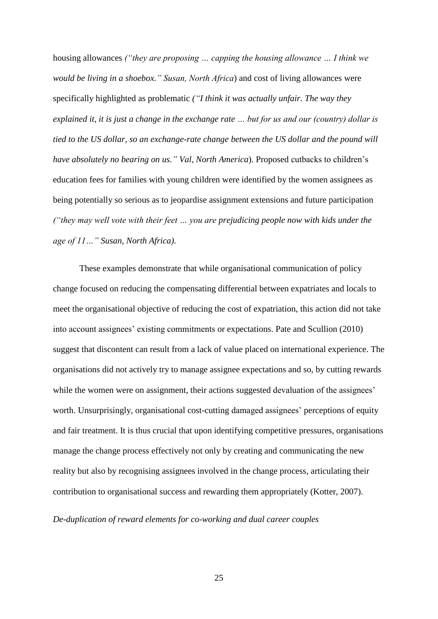housing allowances *("they are proposing … capping the housing allowance … I think we would be living in a shoebox." Susan, North Africa*) and cost of living allowances were specifically highlighted as problematic *("I think it was actually unfair. The way they explained it, it is just a change in the exchange rate … but for us and our (country) dollar is tied to the US dollar, so an exchange-rate change between the US dollar and the pound will have absolutely no bearing on us." Val, North America*). Proposed cutbacks to children's education fees for families with young children were identified by the women assignees as being potentially so serious as to jeopardise assignment extensions and future participation *("they may well vote with their feet … you are prejudicing people now with kids under the age of 11…" Susan, North Africa)*.

These examples demonstrate that while organisational communication of policy change focused on reducing the compensating differential between expatriates and locals to meet the organisational objective of reducing the cost of expatriation, this action did not take into account assignees' existing commitments or expectations. Pate and Scullion (2010) suggest that discontent can result from a lack of value placed on international experience. The organisations did not actively try to manage assignee expectations and so, by cutting rewards while the women were on assignment, their actions suggested devaluation of the assignees' worth. Unsurprisingly, organisational cost-cutting damaged assignees' perceptions of equity and fair treatment. It is thus crucial that upon identifying competitive pressures, organisations manage the change process effectively not only by creating and communicating the new reality but also by recognising assignees involved in the change process, articulating their contribution to organisational success and rewarding them appropriately (Kotter, 2007).

*De-duplication of reward elements for co-working and dual career couples*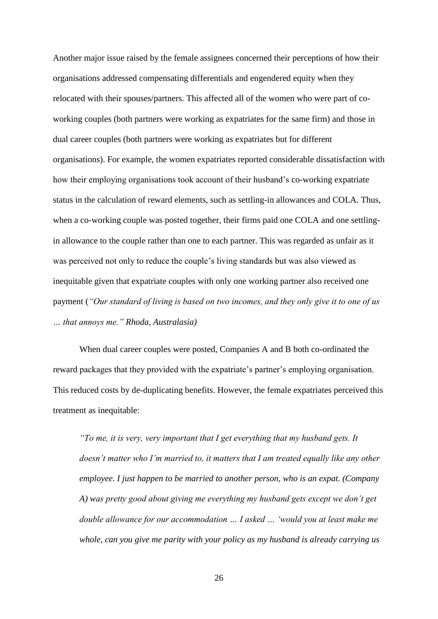Another major issue raised by the female assignees concerned their perceptions of how their organisations addressed compensating differentials and engendered equity when they relocated with their spouses/partners. This affected all of the women who were part of coworking couples (both partners were working as expatriates for the same firm) and those in dual career couples (both partners were working as expatriates but for different organisations). For example, the women expatriates reported considerable dissatisfaction with how their employing organisations took account of their husband's co-working expatriate status in the calculation of reward elements, such as settling-in allowances and COLA. Thus, when a co-working couple was posted together, their firms paid one COLA and one settlingin allowance to the couple rather than one to each partner. This was regarded as unfair as it was perceived not only to reduce the couple's living standards but was also viewed as inequitable given that expatriate couples with only one working partner also received one payment (*"Our standard of living is based on two incomes, and they only give it to one of us … that annoys me." Rhoda, Australasia)*

When dual career couples were posted, Companies A and B both co-ordinated the reward packages that they provided with the expatriate's partner's employing organisation. This reduced costs by de-duplicating benefits. However, the female expatriates perceived this treatment as inequitable:

*"To me, it is very, very important that I get everything that my husband gets. It doesn't matter who I'm married to, it matters that I am treated equally like any other employee. I just happen to be married to another person, who is an expat. (Company A) was pretty good about giving me everything my husband gets except we don't get double allowance for our accommodation … I asked … 'would you at least make me whole, can you give me parity with your policy as my husband is already carrying us*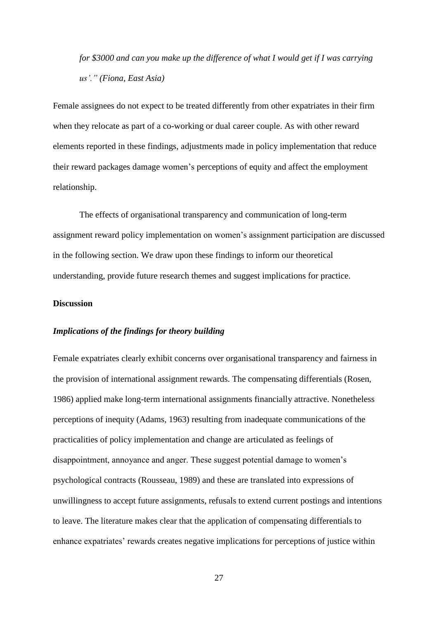*for \$3000 and can you make up the difference of what I would get if I was carrying us'." (Fiona, East Asia)* 

Female assignees do not expect to be treated differently from other expatriates in their firm when they relocate as part of a co-working or dual career couple. As with other reward elements reported in these findings, adjustments made in policy implementation that reduce their reward packages damage women's perceptions of equity and affect the employment relationship.

The effects of organisational transparency and communication of long-term assignment reward policy implementation on women's assignment participation are discussed in the following section. We draw upon these findings to inform our theoretical understanding, provide future research themes and suggest implications for practice.

#### **Discussion**

#### *Implications of the findings for theory building*

Female expatriates clearly exhibit concerns over organisational transparency and fairness in the provision of international assignment rewards. The compensating differentials (Rosen, 1986) applied make long-term international assignments financially attractive. Nonetheless perceptions of inequity (Adams, 1963) resulting from inadequate communications of the practicalities of policy implementation and change are articulated as feelings of disappointment, annoyance and anger. These suggest potential damage to women's psychological contracts (Rousseau, 1989) and these are translated into expressions of unwillingness to accept future assignments, refusals to extend current postings and intentions to leave. The literature makes clear that the application of compensating differentials to enhance expatriates' rewards creates negative implications for perceptions of justice within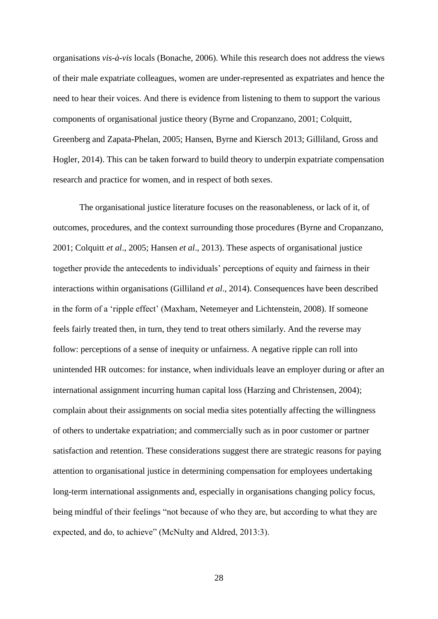organisations *vis-à-vis* locals (Bonache, 2006). While this research does not address the views of their male expatriate colleagues, women are under-represented as expatriates and hence the need to hear their voices. And there is evidence from listening to them to support the various components of organisational justice theory (Byrne and Cropanzano, 2001; Colquitt, Greenberg and Zapata-Phelan, 2005; Hansen, Byrne and Kiersch 2013; Gilliland, Gross and Hogler, 2014). This can be taken forward to build theory to underpin expatriate compensation research and practice for women, and in respect of both sexes.

The organisational justice literature focuses on the reasonableness, or lack of it, of outcomes, procedures, and the context surrounding those procedures (Byrne and Cropanzano, 2001; Colquitt *et al*., 2005; Hansen *et al*., 2013). These aspects of organisational justice together provide the antecedents to individuals' perceptions of equity and fairness in their interactions within organisations (Gilliland *et al*., 2014). Consequences have been described in the form of a 'ripple effect' (Maxham, Netemeyer and Lichtenstein, 2008). If someone feels fairly treated then, in turn, they tend to treat others similarly. And the reverse may follow: perceptions of a sense of inequity or unfairness. A negative ripple can roll into unintended HR outcomes: for instance, when individuals leave an employer during or after an international assignment incurring human capital loss (Harzing and Christensen, 2004); complain about their assignments on social media sites potentially affecting the willingness of others to undertake expatriation; and commercially such as in poor customer or partner satisfaction and retention. These considerations suggest there are strategic reasons for paying attention to organisational justice in determining compensation for employees undertaking long-term international assignments and, especially in organisations changing policy focus, being mindful of their feelings "not because of who they are, but according to what they are expected, and do, to achieve" (McNulty and Aldred, 2013:3).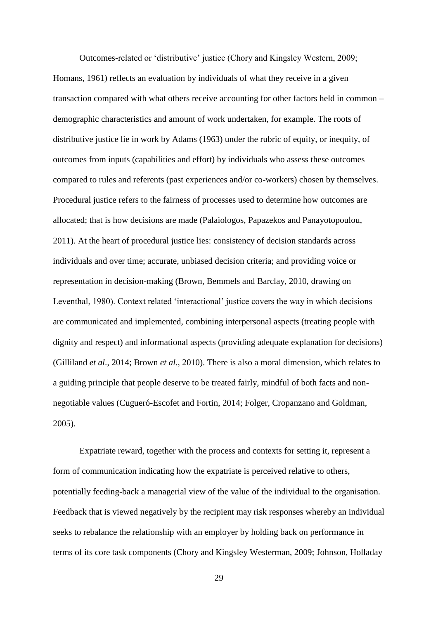Outcomes-related or 'distributive' justice (Chory and Kingsley Western, 2009; Homans, 1961) reflects an evaluation by individuals of what they receive in a given transaction compared with what others receive accounting for other factors held in common – demographic characteristics and amount of work undertaken, for example. The roots of distributive justice lie in work by Adams (1963) under the rubric of equity, or inequity, of outcomes from inputs (capabilities and effort) by individuals who assess these outcomes compared to rules and referents (past experiences and/or co-workers) chosen by themselves. Procedural justice refers to the fairness of processes used to determine how outcomes are allocated; that is how decisions are made (Palaiologos, Papazekos and Panayotopoulou, 2011). At the heart of procedural justice lies: consistency of decision standards across individuals and over time; accurate, unbiased decision criteria; and providing voice or representation in decision-making (Brown, Bemmels and Barclay, 2010, drawing on Leventhal, 1980). Context related 'interactional' justice covers the way in which decisions are communicated and implemented, combining interpersonal aspects (treating people with dignity and respect) and informational aspects (providing adequate explanation for decisions) (Gilliland *et al*., 2014; Brown *et al*., 2010). There is also a moral dimension, which relates to a guiding principle that people deserve to be treated fairly, mindful of both facts and nonnegotiable values (Cugueró-Escofet and Fortin, 2014; Folger, Cropanzano and Goldman, 2005).

Expatriate reward, together with the process and contexts for setting it, represent a form of communication indicating how the expatriate is perceived relative to others, potentially feeding-back a managerial view of the value of the individual to the organisation. Feedback that is viewed negatively by the recipient may risk responses whereby an individual seeks to rebalance the relationship with an employer by holding back on performance in terms of its core task components (Chory and Kingsley Westerman, 2009; Johnson, Holladay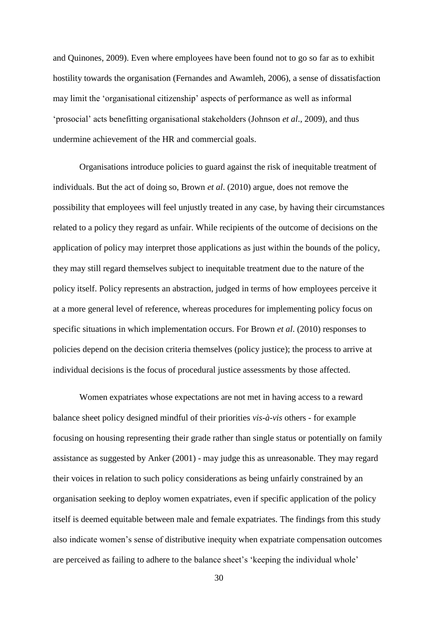and Quinones, 2009). Even where employees have been found not to go so far as to exhibit hostility towards the organisation (Fernandes and Awamleh, 2006), a sense of dissatisfaction may limit the 'organisational citizenship' aspects of performance as well as informal 'prosocial' acts benefitting organisational stakeholders (Johnson *et al*., 2009), and thus undermine achievement of the HR and commercial goals.

Organisations introduce policies to guard against the risk of inequitable treatment of individuals. But the act of doing so, Brown *et al*. (2010) argue, does not remove the possibility that employees will feel unjustly treated in any case, by having their circumstances related to a policy they regard as unfair. While recipients of the outcome of decisions on the application of policy may interpret those applications as just within the bounds of the policy, they may still regard themselves subject to inequitable treatment due to the nature of the policy itself. Policy represents an abstraction, judged in terms of how employees perceive it at a more general level of reference, whereas procedures for implementing policy focus on specific situations in which implementation occurs. For Brown *et al*. (2010) responses to policies depend on the decision criteria themselves (policy justice); the process to arrive at individual decisions is the focus of procedural justice assessments by those affected.

Women expatriates whose expectations are not met in having access to a reward balance sheet policy designed mindful of their priorities *vis-à-vis* others - for example focusing on housing representing their grade rather than single status or potentially on family assistance as suggested by Anker (2001) - may judge this as unreasonable. They may regard their voices in relation to such policy considerations as being unfairly constrained by an organisation seeking to deploy women expatriates, even if specific application of the policy itself is deemed equitable between male and female expatriates. The findings from this study also indicate women's sense of distributive inequity when expatriate compensation outcomes are perceived as failing to adhere to the balance sheet's 'keeping the individual whole'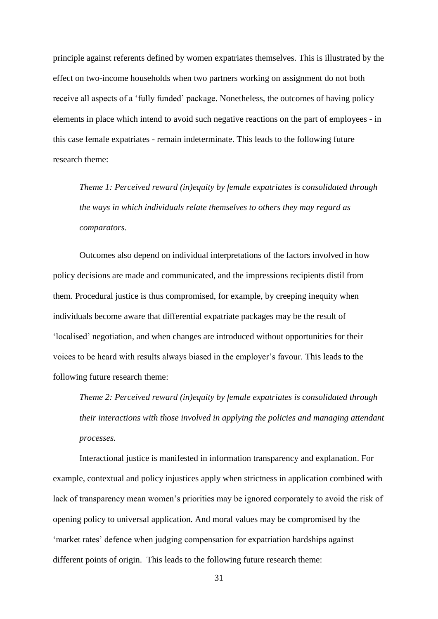principle against referents defined by women expatriates themselves. This is illustrated by the effect on two-income households when two partners working on assignment do not both receive all aspects of a 'fully funded' package. Nonetheless, the outcomes of having policy elements in place which intend to avoid such negative reactions on the part of employees - in this case female expatriates - remain indeterminate. This leads to the following future research theme:

*Theme 1: Perceived reward (in)equity by female expatriates is consolidated through the ways in which individuals relate themselves to others they may regard as comparators.*

Outcomes also depend on individual interpretations of the factors involved in how policy decisions are made and communicated, and the impressions recipients distil from them. Procedural justice is thus compromised, for example, by creeping inequity when individuals become aware that differential expatriate packages may be the result of 'localised' negotiation, and when changes are introduced without opportunities for their voices to be heard with results always biased in the employer's favour. This leads to the following future research theme:

*Theme 2: Perceived reward (in)equity by female expatriates is consolidated through their interactions with those involved in applying the policies and managing attendant processes.*

Interactional justice is manifested in information transparency and explanation. For example, contextual and policy injustices apply when strictness in application combined with lack of transparency mean women's priorities may be ignored corporately to avoid the risk of opening policy to universal application. And moral values may be compromised by the 'market rates' defence when judging compensation for expatriation hardships against different points of origin. This leads to the following future research theme: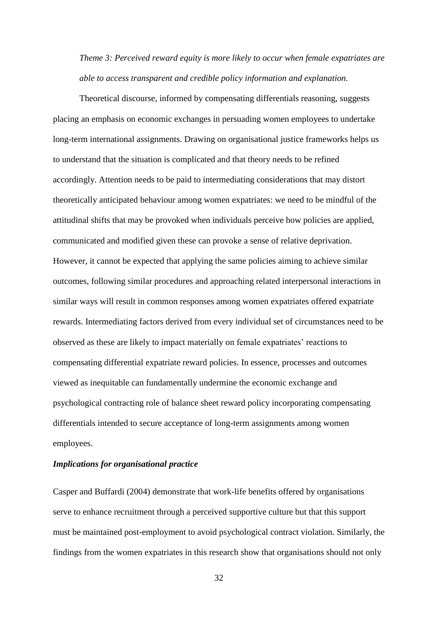*Theme 3: Perceived reward equity is more likely to occur when female expatriates are able to access transparent and credible policy information and explanation.*

Theoretical discourse, informed by compensating differentials reasoning, suggests placing an emphasis on economic exchanges in persuading women employees to undertake long-term international assignments. Drawing on organisational justice frameworks helps us to understand that the situation is complicated and that theory needs to be refined accordingly. Attention needs to be paid to intermediating considerations that may distort theoretically anticipated behaviour among women expatriates: we need to be mindful of the attitudinal shifts that may be provoked when individuals perceive how policies are applied, communicated and modified given these can provoke a sense of relative deprivation. However, it cannot be expected that applying the same policies aiming to achieve similar outcomes, following similar procedures and approaching related interpersonal interactions in similar ways will result in common responses among women expatriates offered expatriate rewards. Intermediating factors derived from every individual set of circumstances need to be observed as these are likely to impact materially on female expatriates' reactions to compensating differential expatriate reward policies. In essence, processes and outcomes viewed as inequitable can fundamentally undermine the economic exchange and psychological contracting role of balance sheet reward policy incorporating compensating differentials intended to secure acceptance of long-term assignments among women employees.

#### *Implications for organisational practice*

Casper and Buffardi (2004) demonstrate that work-life benefits offered by organisations serve to enhance recruitment through a perceived supportive culture but that this support must be maintained post-employment to avoid psychological contract violation. Similarly, the findings from the women expatriates in this research show that organisations should not only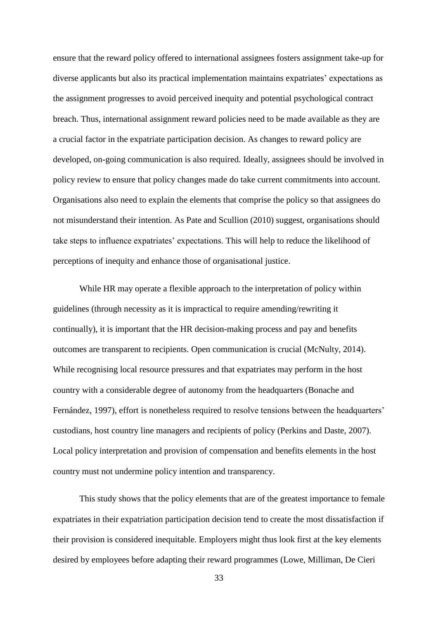ensure that the reward policy offered to international assignees fosters assignment take-up for diverse applicants but also its practical implementation maintains expatriates' expectations as the assignment progresses to avoid perceived inequity and potential psychological contract breach. Thus, international assignment reward policies need to be made available as they are a crucial factor in the expatriate participation decision. As changes to reward policy are developed, on-going communication is also required. Ideally, assignees should be involved in policy review to ensure that policy changes made do take current commitments into account. Organisations also need to explain the elements that comprise the policy so that assignees do not misunderstand their intention. As Pate and Scullion (2010) suggest, organisations should take steps to influence expatriates' expectations. This will help to reduce the likelihood of perceptions of inequity and enhance those of organisational justice.

While HR may operate a flexible approach to the interpretation of policy within guidelines (through necessity as it is impractical to require amending/rewriting it continually), it is important that the HR decision-making process and pay and benefits outcomes are transparent to recipients. Open communication is crucial (McNulty, 2014). While recognising local resource pressures and that expatriates may perform in the host country with a considerable degree of autonomy from the headquarters (Bonache and Fernández, 1997), effort is nonetheless required to resolve tensions between the headquarters' custodians, host country line managers and recipients of policy (Perkins and Daste, 2007). Local policy interpretation and provision of compensation and benefits elements in the host country must not undermine policy intention and transparency.

This study shows that the policy elements that are of the greatest importance to female expatriates in their expatriation participation decision tend to create the most dissatisfaction if their provision is considered inequitable. Employers might thus look first at the key elements desired by employees before adapting their reward programmes (Lowe, Milliman, De Cieri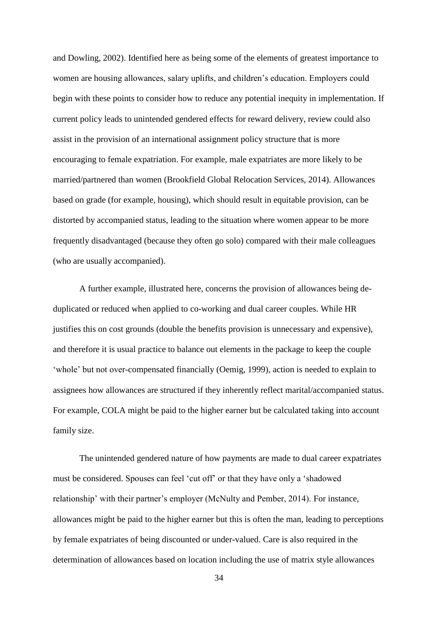and Dowling, 2002). Identified here as being some of the elements of greatest importance to women are housing allowances, salary uplifts, and children's education. Employers could begin with these points to consider how to reduce any potential inequity in implementation. If current policy leads to unintended gendered effects for reward delivery, review could also assist in the provision of an international assignment policy structure that is more encouraging to female expatriation. For example, male expatriates are more likely to be married/partnered than women (Brookfield Global Relocation Services, 2014). Allowances based on grade (for example, housing), which should result in equitable provision, can be distorted by accompanied status, leading to the situation where women appear to be more frequently disadvantaged (because they often go solo) compared with their male colleagues (who are usually accompanied).

A further example, illustrated here, concerns the provision of allowances being deduplicated or reduced when applied to co-working and dual career couples. While HR justifies this on cost grounds (double the benefits provision is unnecessary and expensive), and therefore it is usual practice to balance out elements in the package to keep the couple 'whole' but not over-compensated financially (Oemig, 1999), action is needed to explain to assignees how allowances are structured if they inherently reflect marital/accompanied status. For example, COLA might be paid to the higher earner but be calculated taking into account family size.

The unintended gendered nature of how payments are made to dual career expatriates must be considered. Spouses can feel 'cut off' or that they have only a 'shadowed relationship' with their partner's employer (McNulty and Pember, 2014). For instance, allowances might be paid to the higher earner but this is often the man, leading to perceptions by female expatriates of being discounted or under-valued. Care is also required in the determination of allowances based on location including the use of matrix style allowances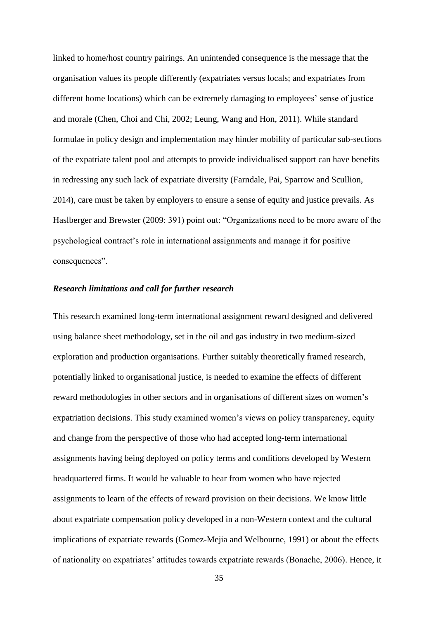linked to home/host country pairings. An unintended consequence is the message that the organisation values its people differently (expatriates versus locals; and expatriates from different home locations) which can be extremely damaging to employees' sense of justice and morale (Chen, Choi and Chi, 2002; Leung, Wang and Hon, 2011). While standard formulae in policy design and implementation may hinder mobility of particular sub-sections of the expatriate talent pool and attempts to provide individualised support can have benefits in redressing any such lack of expatriate diversity (Farndale, Pai, Sparrow and Scullion, 2014), care must be taken by employers to ensure a sense of equity and justice prevails. As Haslberger and Brewster (2009: 391) point out: "Organizations need to be more aware of the psychological contract's role in international assignments and manage it for positive consequences".

#### *Research limitations and call for further research*

This research examined long-term international assignment reward designed and delivered using balance sheet methodology, set in the oil and gas industry in two medium-sized exploration and production organisations. Further suitably theoretically framed research, potentially linked to organisational justice, is needed to examine the effects of different reward methodologies in other sectors and in organisations of different sizes on women's expatriation decisions. This study examined women's views on policy transparency, equity and change from the perspective of those who had accepted long-term international assignments having being deployed on policy terms and conditions developed by Western headquartered firms. It would be valuable to hear from women who have rejected assignments to learn of the effects of reward provision on their decisions. We know little about expatriate compensation policy developed in a non-Western context and the cultural implications of expatriate rewards (Gomez-Mejia and Welbourne, 1991) or about the effects of nationality on expatriates' attitudes towards expatriate rewards (Bonache, 2006). Hence, it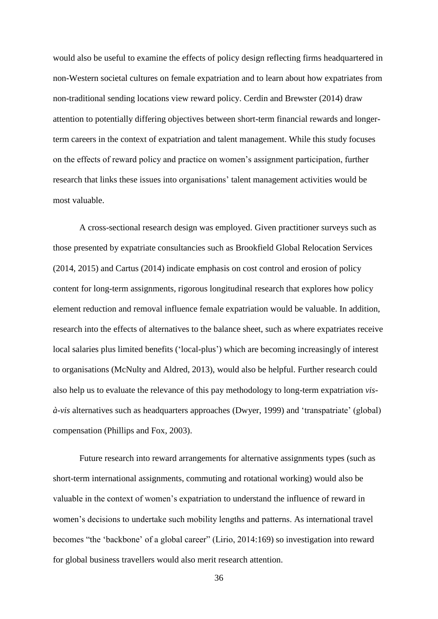would also be useful to examine the effects of policy design reflecting firms headquartered in non-Western societal cultures on female expatriation and to learn about how expatriates from non-traditional sending locations view reward policy. Cerdin and Brewster (2014) draw attention to potentially differing objectives between short-term financial rewards and longerterm careers in the context of expatriation and talent management. While this study focuses on the effects of reward policy and practice on women's assignment participation, further research that links these issues into organisations' talent management activities would be most valuable.

A cross-sectional research design was employed. Given practitioner surveys such as those presented by expatriate consultancies such as Brookfield Global Relocation Services (2014, 2015) and Cartus (2014) indicate emphasis on cost control and erosion of policy content for long-term assignments, rigorous longitudinal research that explores how policy element reduction and removal influence female expatriation would be valuable. In addition, research into the effects of alternatives to the balance sheet, such as where expatriates receive local salaries plus limited benefits ('local-plus') which are becoming increasingly of interest to organisations (McNulty and Aldred, 2013), would also be helpful. Further research could also help us to evaluate the relevance of this pay methodology to long-term expatriation *visà-vis* alternatives such as headquarters approaches (Dwyer, 1999) and 'transpatriate' (global) compensation (Phillips and Fox, 2003).

Future research into reward arrangements for alternative assignments types (such as short-term international assignments, commuting and rotational working) would also be valuable in the context of women's expatriation to understand the influence of reward in women's decisions to undertake such mobility lengths and patterns. As international travel becomes "the 'backbone' of a global career" (Lirio, 2014:169) so investigation into reward for global business travellers would also merit research attention.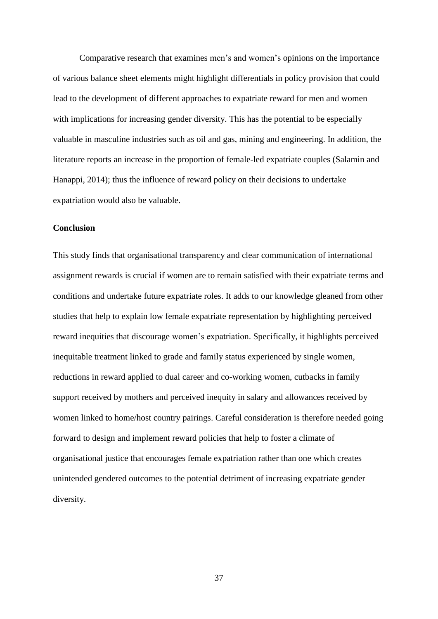Comparative research that examines men's and women's opinions on the importance of various balance sheet elements might highlight differentials in policy provision that could lead to the development of different approaches to expatriate reward for men and women with implications for increasing gender diversity. This has the potential to be especially valuable in masculine industries such as oil and gas, mining and engineering. In addition, the literature reports an increase in the proportion of female-led expatriate couples (Salamin and Hanappi, 2014); thus the influence of reward policy on their decisions to undertake expatriation would also be valuable.

#### **Conclusion**

This study finds that organisational transparency and clear communication of international assignment rewards is crucial if women are to remain satisfied with their expatriate terms and conditions and undertake future expatriate roles. It adds to our knowledge gleaned from other studies that help to explain low female expatriate representation by highlighting perceived reward inequities that discourage women's expatriation. Specifically, it highlights perceived inequitable treatment linked to grade and family status experienced by single women, reductions in reward applied to dual career and co-working women, cutbacks in family support received by mothers and perceived inequity in salary and allowances received by women linked to home/host country pairings. Careful consideration is therefore needed going forward to design and implement reward policies that help to foster a climate of organisational justice that encourages female expatriation rather than one which creates unintended gendered outcomes to the potential detriment of increasing expatriate gender diversity.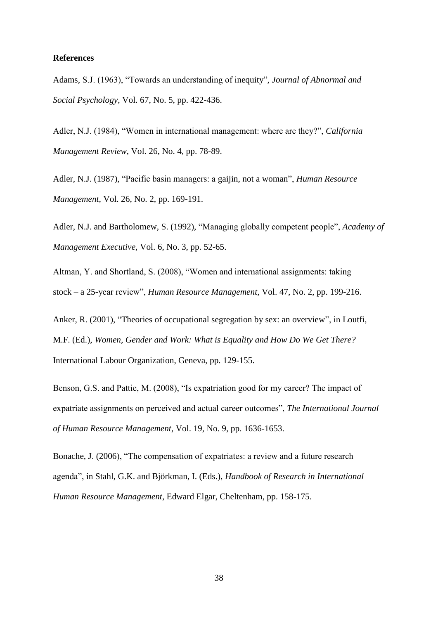#### **References**

Adams, S.J. (1963), "Towards an understanding of inequity", *Journal of Abnormal and Social Psychology*, Vol. 67, No. 5, pp. 422-436.

Adler, N.J. (1984), "Women in international management: where are they?", *California Management Review*, Vol. 26, No. 4, pp. 78-89.

Adler, N.J. (1987), "Pacific basin managers: a gaijin, not a woman", *Human Resource Management*, Vol. 26, No. 2, pp. 169-191.

Adler, N.J. and Bartholomew, S. (1992), "Managing globally competent people", *Academy of Management Executive*, Vol. 6, No. 3, pp. 52-65.

Altman, Y. and Shortland, S. (2008), "Women and international assignments: taking stock – a 25-year review", *Human Resource Management*, Vol. 47, No. 2, pp. 199-216.

Anker, R. (2001), "Theories of occupational segregation by sex: an overview", in Loutfi, M.F. (Ed.), *Women, Gender and Work: What is Equality and How Do We Get There?* International Labour Organization, Geneva, pp. 129-155.

Benson, G.S. and Pattie, M. (2008), "Is expatriation good for my career? The impact of expatriate assignments on perceived and actual career outcomes", *The International Journal of Human Resource Management*, Vol. 19, No. 9, pp. 1636-1653.

Bonache, J. (2006), "The compensation of expatriates: a review and a future research agenda", in Stahl, G.K. and Björkman, I. (Eds.), *Handbook of Research in International Human Resource Management*, Edward Elgar, Cheltenham, pp. 158-175.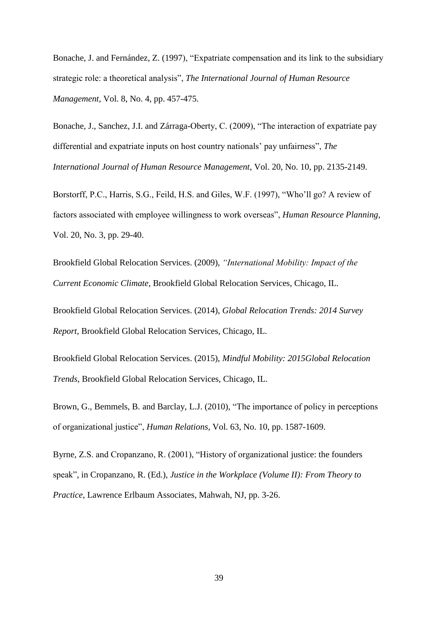Bonache, J. and Fernández, Z. (1997), "Expatriate compensation and its link to the subsidiary strategic role: a theoretical analysis", *The International Journal of Human Resource Management*, Vol. 8, No. 4, pp. 457-475.

Bonache, J., Sanchez, J.I. and Zárraga-Oberty, C. (2009), "The interaction of expatriate pay differential and expatriate inputs on host country nationals' pay unfairness", *The International Journal of Human Resource Management*, Vol. 20, No. 10, pp. 2135-2149.

Borstorff, P.C., Harris, S.G., Feild, H.S. and Giles, W.F. (1997), "Who'll go? A review of factors associated with employee willingness to work overseas", *Human Resource Planning*, Vol. 20, No. 3, pp. 29-40.

Brookfield Global Relocation Services. (2009), *"International Mobility: Impact of the Current Economic Climate*, Brookfield Global Relocation Services, Chicago, IL.

Brookfield Global Relocation Services. (2014), *Global Relocation Trends: 2014 Survey Report*, Brookfield Global Relocation Services, Chicago, IL.

Brookfield Global Relocation Services. (2015), *Mindful Mobility: 2015Global Relocation Trends*, Brookfield Global Relocation Services, Chicago, IL.

Brown, G., Bemmels, B. and Barclay, L.J. (2010), "The importance of policy in perceptions of organizational justice", *Human Relations,* Vol. 63, No. 10, pp. 1587-1609.

Byrne, Z.S. and Cropanzano, R. (2001), "History of organizational justice: the founders speak", in Cropanzano, R. (Ed.), *Justice in the Workplace (Volume II): From Theory to Practice*, Lawrence Erlbaum Associates, Mahwah, NJ, pp. 3-26.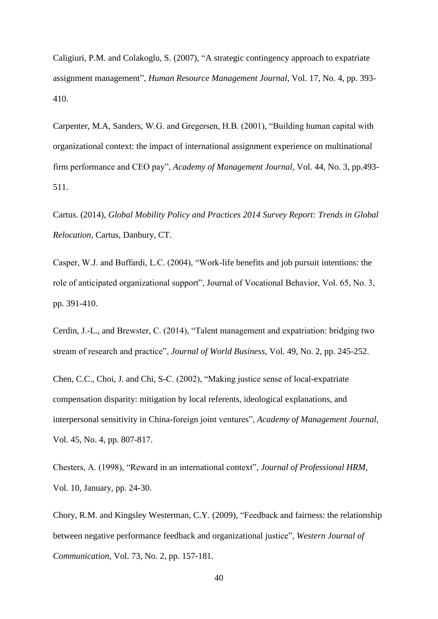Caligiuri, P.M. and Colakoglu, S. (2007), "A strategic contingency approach to expatriate assignment management", *Human Resource Management Journal*, Vol. 17, No. 4, pp. 393- 410.

Carpenter, M.A, Sanders, W.G. and Gregersen, H.B. (2001), "Building human capital with organizational context: the impact of international assignment experience on multinational firm performance and CEO pay", *Academy of Management Journal*, Vol. 44, No. 3, pp.493- 511.

Cartus. (2014), *Global Mobility Policy and Practices 2014 Survey Report: Trends in Global Relocation*, Cartus, Danbury, CT.

Casper, W.J. and Buffardi, L.C. (2004), "Work-life benefits and job pursuit intentions: the role of anticipated organizational support", Journal of Vocational Behavior, Vol. 65, No. 3, pp. 391-410.

Cerdin, J.-L., and Brewster, C. (2014), "Talent management and expatriation: bridging two stream of research and practice", *Journal of World Business*, Vol. 49, No. 2, pp. 245-252.

Chen, C.C., Choi, J. and Chi, S-C. (2002), "Making justice sense of local-expatriate compensation disparity: mitigation by local referents, ideological explanations, and interpersonal sensitivity in China-foreign joint ventures", *Academy of Management Journal*, Vol. 45, No. 4, pp. 807-817.

Chesters, A. (1998), "Reward in an international context", *Journal of Professional HRM*, Vol. 10, January, pp. 24-30.

Chory, R.M. and Kingsley Westerman, C.Y. (2009), "Feedback and fairness: the relationship between negative performance feedback and organizational justice", *Western Journal of Communication*, Vol. 73, No. 2, pp. 157-181.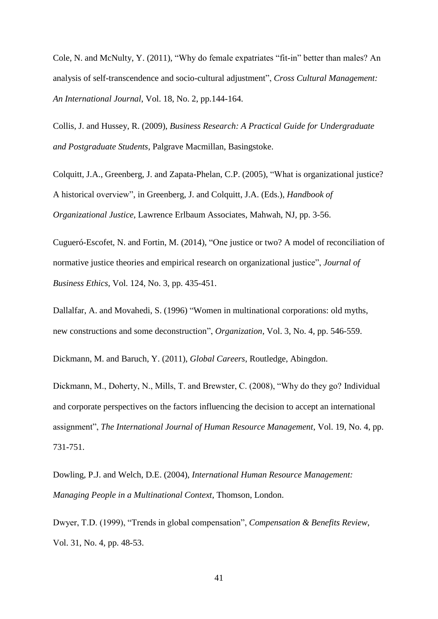Cole, N. and McNulty, Y. (2011), "Why do female expatriates "fit-in" better than males? An analysis of self-transcendence and socio-cultural adjustment", *Cross Cultural Management: An International Journal*, Vol. 18, No. 2, pp.144-164.

Collis, J. and Hussey, R. (2009), *Business Research: A Practical Guide for Undergraduate and Postgraduate Students*, Palgrave Macmillan, Basingstoke.

Colquitt, J.A., Greenberg, J. and Zapata-Phelan, C.P. (2005), "What is organizational justice? A historical overview", in Greenberg, J. and Colquitt, J.A. (Eds.), *Handbook of Organizational Justice*, Lawrence Erlbaum Associates, Mahwah, NJ, pp. 3-56.

Cugueró-Escofet, N. and Fortin, M. (2014), "One justice or two? A model of reconciliation of normative justice theories and empirical research on organizational justice", *Journal of Business Ethics*, Vol. 124, No. 3, pp. 435-451.

Dallalfar, A. and Movahedi, S. (1996) "Women in multinational corporations: old myths, new constructions and some deconstruction", *Organization*, Vol. 3, No. 4, pp. 546-559.

Dickmann, M. and Baruch, Y. (2011), *Global Careers*, Routledge, Abingdon.

Dickmann, M., Doherty, N., Mills, T. and Brewster, C. (2008), "Why do they go? Individual and corporate perspectives on the factors influencing the decision to accept an international assignment", *The International Journal of Human Resource Management*, Vol. 19, No. 4, pp. 731-751.

Dowling, P.J. and Welch, D.E. (2004), *International Human Resource Management: Managing People in a Multinational Context*, Thomson, London.

Dwyer, T.D. (1999), "Trends in global compensation", *Compensation & Benefits Review*, Vol. 31, No. 4, pp. 48-53.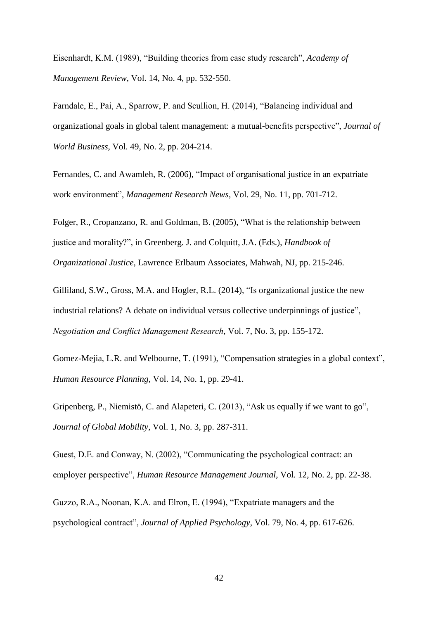Eisenhardt, K.M. (1989), "Building theories from case study research", *Academy of Management Review*, Vol. 14, No. 4, pp. 532-550.

Farndale, E., Pai, A., Sparrow, P. and Scullion, H. (2014), "Balancing individual and organizational goals in global talent management: a mutual-benefits perspective", *Journal of World Business*, Vol. 49, No. 2, pp. 204-214.

Fernandes, C. and Awamleh, R. (2006), "Impact of organisational justice in an expatriate work environment", *Management Research News*, Vol. 29, No. 11, pp. 701-712.

Folger, R., Cropanzano, R. and Goldman, B. (2005), "What is the relationship between justice and morality?", in Greenberg. J. and Colquitt, J.A. (Eds.), *Handbook of Organizational Justice*, Lawrence Erlbaum Associates, Mahwah, NJ, pp. 215-246.

Gilliland, S.W., Gross, M.A. and Hogler, R.L. (2014), "Is organizational justice the new industrial relations? A debate on individual versus collective underpinnings of justice", *Negotiation and Conflict Management Research*, Vol. 7, No. 3, pp. 155-172.

Gomez-Mejia, L.R. and Welbourne, T. (1991), "Compensation strategies in a global context", *Human Resource Planning*, Vol. 14, No. 1, pp. 29-41.

Gripenberg, P., Niemistö, C. and Alapeteri, C. (2013), "Ask us equally if we want to go", *Journal of Global Mobility*, Vol. 1, No. 3, pp. 287-311.

Guest, D.E. and Conway, N. (2002), "Communicating the psychological contract: an employer perspective", *Human Resource Management Journal*, Vol. 12, No. 2, pp. 22-38.

Guzzo, R.A., Noonan, K.A. and Elron, E. (1994), "Expatriate managers and the psychological contract", *Journal of Applied Psychology*, Vol. 79, No. 4, pp. 617-626.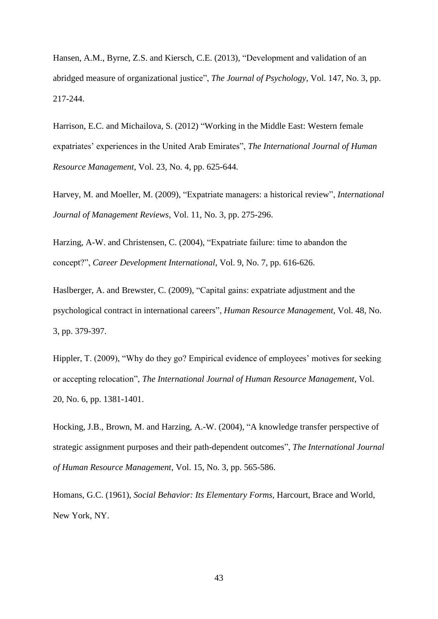Hansen, A.M., Byrne, Z.S. and Kiersch, C.E. (2013), "Development and validation of an abridged measure of organizational justice", *The Journal of Psychology*, Vol. 147, No. 3, pp. 217-244.

Harrison, E.C. and Michailova, S. (2012) "Working in the Middle East: Western female expatriates' experiences in the United Arab Emirates", *The International Journal of Human Resource Management*, Vol. 23, No. 4, pp. 625-644.

Harvey, M. and Moeller, M. (2009), "Expatriate managers: a historical review", *International Journal of Management Reviews*, Vol. 11, No. 3, pp. 275-296.

Harzing, A-W. and Christensen, C. (2004), "Expatriate failure: time to abandon the concept?", *Career Development International*, Vol. 9, No. 7, pp. 616-626.

Haslberger, A. and Brewster, C. (2009), "Capital gains: expatriate adjustment and the psychological contract in international careers", *Human Resource Management*, Vol. 48, No. 3, pp. 379-397.

Hippler, T. (2009), "Why do they go? Empirical evidence of employees' motives for seeking or accepting relocation", *The International Journal of Human Resource Management*, Vol. 20, No. 6, pp. 1381-1401.

Hocking, J.B., Brown, M. and Harzing, A.-W. (2004), "A knowledge transfer perspective of strategic assignment purposes and their path-dependent outcomes", *The International Journal of Human Resource Management*, Vol. 15, No. 3, pp. 565-586.

Homans, G.C. (1961), *Social Behavior: Its Elementary Forms,* Harcourt, Brace and World, New York, NY.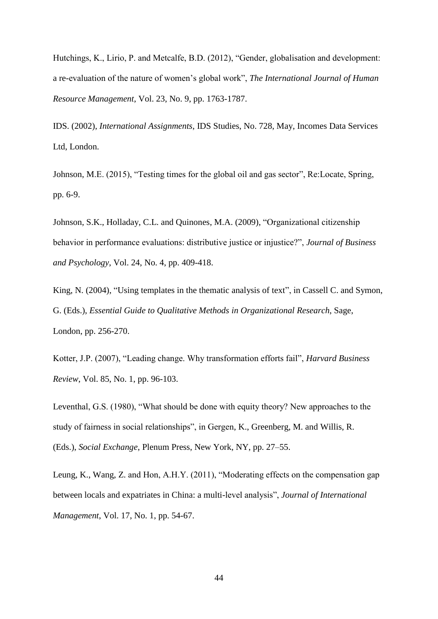Hutchings, K., Lirio, P. and Metcalfe, B.D. (2012), "Gender, globalisation and development: a re-evaluation of the nature of women's global work", *The International Journal of Human Resource Management*, Vol. 23, No. 9, pp. 1763-1787.

IDS. (2002), *International Assignments*, IDS Studies, No. 728, May, Incomes Data Services Ltd, London.

Johnson, M.E. (2015), "Testing times for the global oil and gas sector", Re:Locate, Spring, pp. 6-9.

Johnson, S.K., Holladay, C.L. and Quinones, M.A. (2009), "Organizational citizenship behavior in performance evaluations: distributive justice or injustice?", *Journal of Business and Psychology*, Vol. 24, No. 4, pp. 409-418.

King, N. (2004), "Using templates in the thematic analysis of text", in Cassell C. and Symon, G. (Eds.), *Essential Guide to Qualitative Methods in Organizational Research*, Sage, London, pp. 256-270.

Kotter, J.P. (2007), "Leading change. Why transformation efforts fail", *Harvard Business Review*, Vol. 85, No. 1, pp. 96-103.

Leventhal, G.S. (1980), "What should be done with equity theory? New approaches to the study of fairness in social relationships", in Gergen, K., Greenberg, M. and Willis, R. (Eds.), *Social Exchange*, Plenum Press, New York, NY, pp. 27–55.

Leung, K., Wang, Z. and Hon, A.H.Y. (2011), "Moderating effects on the compensation gap between locals and expatriates in China: a multi-level analysis", *Journal of International Management*, Vol. 17, No. 1, pp. 54-67.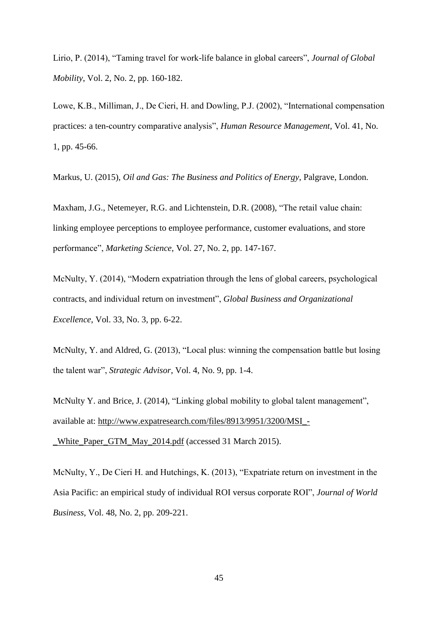Lirio, P. (2014), "Taming travel for work-life balance in global careers", *Journal of Global Mobility*, Vol. 2, No. 2, pp. 160-182.

Lowe, K.B., Milliman, J., De Cieri, H. and Dowling, P.J. (2002), "International compensation practices: a ten-country comparative analysis", *Human Resource Management*, Vol. 41, No. 1, pp. 45-66.

Markus, U. (2015), *Oil and Gas: The Business and Politics of Energy*, Palgrave, London.

Maxham, J.G., Netemeyer, R.G. and Lichtenstein, D.R. (2008), "The retail value chain: linking employee perceptions to employee performance, customer evaluations, and store performance", *Marketing Science*, Vol. 27, No. 2, pp. 147-167.

McNulty, Y. (2014), "Modern expatriation through the lens of global careers, psychological contracts, and individual return on investment", *Global Business and Organizational Excellence*, Vol. 33, No. 3, pp. 6-22.

McNulty, Y. and Aldred, G. (2013), "Local plus: winning the compensation battle but losing the talent war", *Strategic Advisor*, Vol. 4, No. 9, pp. 1-4.

McNulty Y. and Brice, J. (2014), "Linking global mobility to global talent management", available at: [http://www.expatresearch.com/files/8913/9951/3200/MSI\\_-](http://www.expatresearch.com/files/8913/9951/3200/MSI_-_White_Paper_GTM_May_2014.pdf) [\\_White\\_Paper\\_GTM\\_May\\_2014.pdf](http://www.expatresearch.com/files/8913/9951/3200/MSI_-_White_Paper_GTM_May_2014.pdf) (accessed 31 March 2015).

McNulty, Y., De Cieri H. and Hutchings, K. (2013), "Expatriate return on investment in the Asia Pacific: an empirical study of individual ROI versus corporate ROI", *Journal of World Business*, Vol. 48, No. 2, pp. 209-221.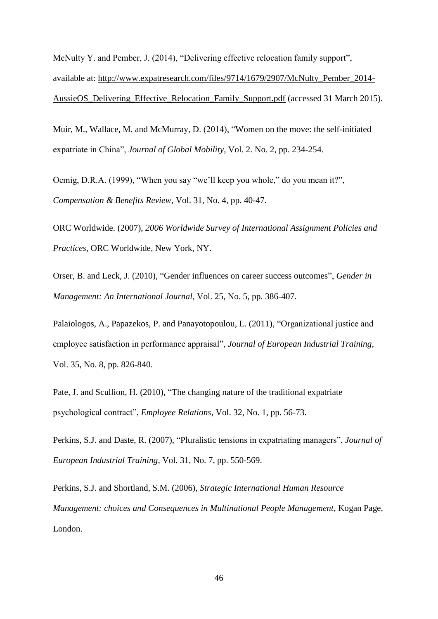McNulty Y. and Pember, J. (2014), "Delivering effective relocation family support", available at: [http://www.expatresearch.com/files/9714/1679/2907/McNulty\\_Pember\\_2014-](http://www.expatresearch.com/files/9714/1679/2907/McNulty_Pember_2014-AussieOS_Delivering_Effective_Relocation_Family_Support.pdf) [AussieOS\\_Delivering\\_Effective\\_Relocation\\_Family\\_Support.pdf](http://www.expatresearch.com/files/9714/1679/2907/McNulty_Pember_2014-AussieOS_Delivering_Effective_Relocation_Family_Support.pdf) (accessed 31 March 2015).

Muir, M., Wallace, M. and McMurray, D. (2014), "Women on the move: the self-initiated expatriate in China", *Journal of Global Mobility*, Vol. 2. No. 2, pp. 234-254.

Oemig, D.R.A. (1999), "When you say "we'll keep you whole," do you mean it?", *Compensation & Benefits Review*, Vol. 31, No. 4, pp. 40-47.

ORC Worldwide. (2007), *2006 Worldwide Survey of International Assignment Policies and Practices*, ORC Worldwide, New York, NY.

Orser, B. and Leck, J. (2010), "Gender influences on career success outcomes", *Gender in Management: An International Journal*, Vol. 25, No. 5, pp. 386-407.

Palaiologos, A., Papazekos, P. and Panayotopoulou, L. (2011), "Organizational justice and employee satisfaction in performance appraisal", *Journal of European Industrial Training*, Vol. 35, No. 8, pp. 826-840.

Pate, J. and Scullion, H. (2010), "The changing nature of the traditional expatriate psychological contract", *Employee Relations*, Vol. 32, No. 1, pp. 56-73.

Perkins, S.J. and Daste, R. (2007), "Pluralistic tensions in expatriating managers", *Journal of European Industrial Training*, Vol. 31, No. 7, pp. 550-569.

Perkins, S.J. and Shortland, S.M. (2006), *Strategic International Human Resource Management: choices and Consequences in Multinational People Management*, Kogan Page, London.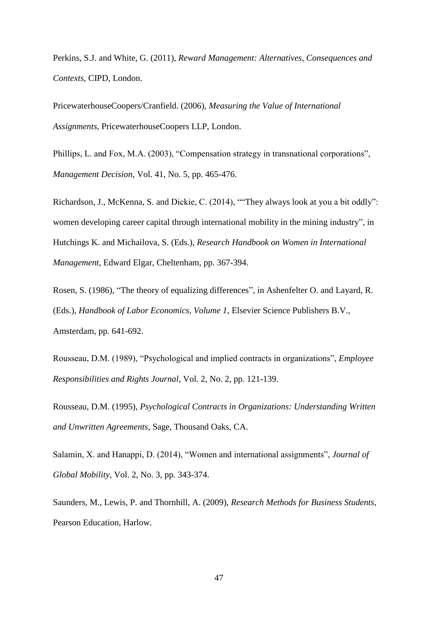Perkins, S.J. and White, G. (2011), *Reward Management: Alternatives, Consequences and Contexts*, CIPD, London.

PricewaterhouseCoopers/Cranfield. (2006), *Measuring the Value of International Assignments*, PricewaterhouseCoopers LLP, London.

Phillips, L. and Fox, M.A. (2003), "Compensation strategy in transnational corporations", *Management Decision*, Vol. 41, No. 5, pp. 465-476.

Richardson, J., McKenna, S. and Dickie, C. (2014), ""They always look at you a bit oddly": women developing career capital through international mobility in the mining industry", in Hutchings K. and Michailova, S. (Eds.), *Research Handbook on Women in International Management*, Edward Elgar, Cheltenham, pp. 367-394.

Rosen, S. (1986), "The theory of equalizing differences", in Ashenfelter O. and Layard, R. (Eds.), *Handbook of Labor Economics, Volume 1*, Elsevier Science Publishers B.V., Amsterdam, pp. 641-692.

Rousseau, D.M. (1989), "Psychological and implied contracts in organizations", *Employee Responsibilities and Rights Journal*, Vol. 2, No. 2, pp. 121-139.

Rousseau, D.M. (1995), *Psychological Contracts in Organizations: Understanding Written and Unwritten Agreements*, Sage, Thousand Oaks, CA.

Salamin, X. and Hanappi, D. (2014), "Women and international assignments", *Journal of Global Mobility*, Vol. 2, No. 3, pp. 343-374.

Saunders, M., Lewis, P. and Thornhill, A. (2009), *Research Methods for Business Students*, Pearson Education, Harlow.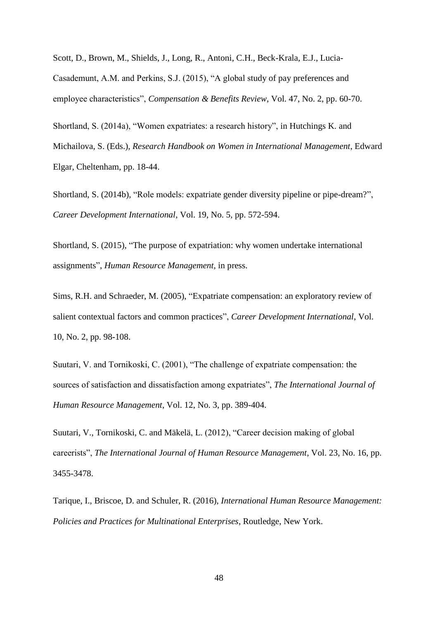Scott, D., Brown, M., Shields, J., Long, R., Antoni, C.H., Beck-Krala, E.J., Lucia-Casademunt, A.M. and Perkins, S.J. (2015), "A global study of pay preferences and employee characteristics", *Compensation & Benefits Review*, Vol. 47, No. 2, pp. 60-70.

Shortland, S. (2014a), "Women expatriates: a research history", in Hutchings K. and Michailova, S. (Eds.), *Research Handbook on Women in International Management*, Edward Elgar, Cheltenham, pp. 18-44.

Shortland, S. (2014b), "Role models: expatriate gender diversity pipeline or pipe-dream?", *Career Development International*, Vol. 19, No. 5, pp. 572-594.

Shortland, S. (2015), "The purpose of expatriation: why women undertake international assignments", *Human Resource Management*, in press.

Sims, R.H. and Schraeder, M. (2005), "Expatriate compensation: an exploratory review of salient contextual factors and common practices", *Career Development International*, Vol. 10, No. 2, pp. 98-108.

Suutari, V. and Tornikoski, C. (2001), "The challenge of expatriate compensation: the sources of satisfaction and dissatisfaction among expatriates", *The International Journal of Human Resource Management*, Vol. 12, No. 3, pp. 389-404.

Suutari, V., Tornikoski, C. and Mäkelä, L. (2012), "Career decision making of global careerists", *The International Journal of Human Resource Management*, Vol. 23, No. 16, pp. 3455-3478.

Tarique, I., Briscoe, D. and Schuler, R. (2016), *International Human Resource Management: Policies and Practices for Multinational Enterprises*, Routledge, New York.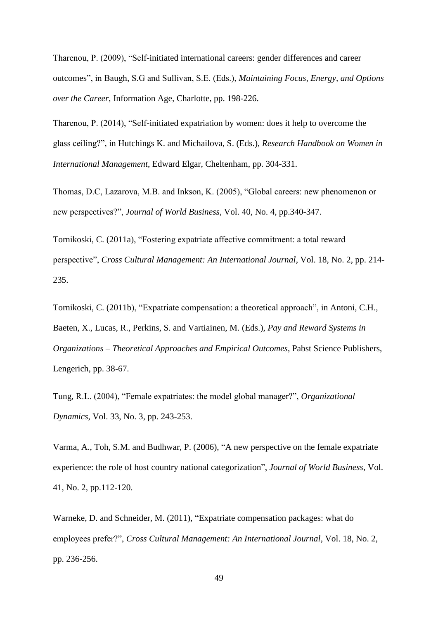Tharenou, P. (2009), "Self-initiated international careers: gender differences and career outcomes", in Baugh, S.G and Sullivan, S.E. (Eds.), *Maintaining Focus, Energy, and Options over the Career*, Information Age, Charlotte, pp. 198-226.

Tharenou, P. (2014), "Self-initiated expatriation by women: does it help to overcome the glass ceiling?", in Hutchings K. and Michailova, S. (Eds.), *Research Handbook on Women in International Management*, Edward Elgar, Cheltenham, pp. 304-331.

Thomas, D.C, Lazarova, M.B. and Inkson, K. (2005), "Global careers: new phenomenon or new perspectives?", *Journal of World Business*, Vol. 40, No. 4, pp.340-347.

Tornikoski, C. (2011a), "Fostering expatriate affective commitment: a total reward perspective", *Cross Cultural Management: An International Journal*, Vol. 18, No. 2, pp. 214- 235.

Tornikoski, C. (2011b), "Expatriate compensation: a theoretical approach", in Antoni, C.H., Baeten, X., Lucas, R., Perkins, S. and Vartiainen, M. (Eds.), *Pay and Reward Systems in Organizations – Theoretical Approaches and Empirical Outcomes*, Pabst Science Publishers, Lengerich, pp. 38-67.

Tung, R.L. (2004), "Female expatriates: the model global manager?", *Organizational Dynamics*, Vol. 33, No. 3, pp. 243-253.

Varma, A., Toh, S.M. and Budhwar, P. (2006), "A new perspective on the female expatriate experience: the role of host country national categorization", *Journal of World Business*, Vol. 41, No. 2, pp.112-120.

Warneke, D. and Schneider, M. (2011), "Expatriate compensation packages: what do employees prefer?", *Cross Cultural Management: An International Journal*, Vol. 18, No. 2, pp. 236-256.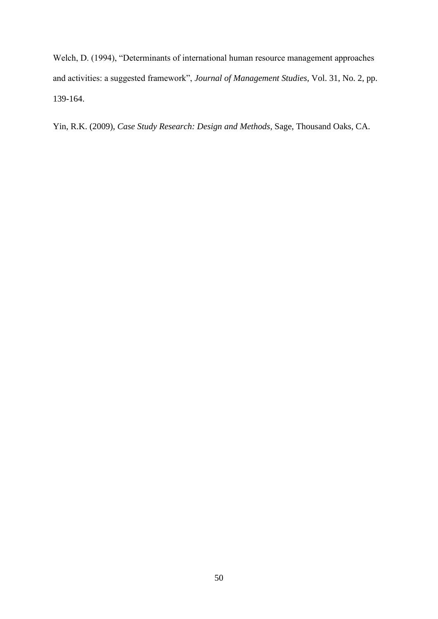Welch, D. (1994), "Determinants of international human resource management approaches and activities: a suggested framework", *Journal of Management Studies*, Vol. 31, No. 2, pp. 139-164.

Yin, R.K. (2009), *Case Study Research: Design and Methods*, Sage, Thousand Oaks, CA.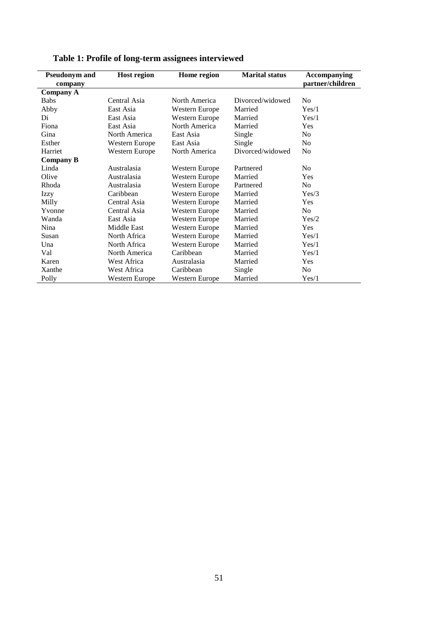| <b>Pseudonym and</b> | <b>Host region</b>    | Home region           | <b>Marital status</b> | <b>Accompanying</b> |
|----------------------|-----------------------|-----------------------|-----------------------|---------------------|
| company              |                       |                       |                       | partner/children    |
| <b>Company A</b>     |                       |                       |                       |                     |
| <b>Babs</b>          | Central Asia          | North America         | Divorced/widowed      | N <sub>0</sub>      |
| Abby                 | East Asia             | <b>Western Europe</b> | Married               | Yes/1               |
| Di                   | East Asia             | <b>Western Europe</b> | Married               | Yes/1               |
| Fiona                | East Asia             | North America         | Married               | Yes                 |
| Gina                 | North America         | East Asia             | Single                | No.                 |
| Esther               | <b>Western Europe</b> | East Asia             | Single                | N <sub>0</sub>      |
| Harriet              | Western Europe        | North America         | Divorced/widowed      | N <sub>0</sub>      |
| <b>Company B</b>     |                       |                       |                       |                     |
| Linda                | Australasia           | <b>Western Europe</b> | Partnered             | No                  |
| Olive                | Australasia           | Western Europe        | Married               | Yes                 |
| Rhoda                | Australasia           | <b>Western Europe</b> | Partnered             | No                  |
| Izzy                 | Caribbean             | <b>Western Europe</b> | Married               | Yes/3               |
| Milly                | Central Asia          | <b>Western Europe</b> | Married               | Yes                 |
| Yvonne               | Central Asia          | <b>Western Europe</b> | Married               | No                  |
| Wanda                | East Asia             | <b>Western Europe</b> | Married               | Yes/2               |
| Nina                 | Middle East           | <b>Western Europe</b> | Married               | Yes                 |
| Susan                | North Africa          | Western Europe        | Married               | Yes/1               |
| Una                  | North Africa          | Western Europe        | Married               | Yes/1               |
| Val                  | North America         | Caribbean             | Married               | Yes/1               |
| Karen                | West Africa           | Australasia           | Married               | <b>Yes</b>          |
| Xanthe               | West Africa           | Caribbean             | Single                | N <sub>0</sub>      |
| Polly                | Western Europe        | Western Europe        | Married               | Yes/1               |

|  | Table 1: Profile of long-term assignees interviewed |  |
|--|-----------------------------------------------------|--|
|  |                                                     |  |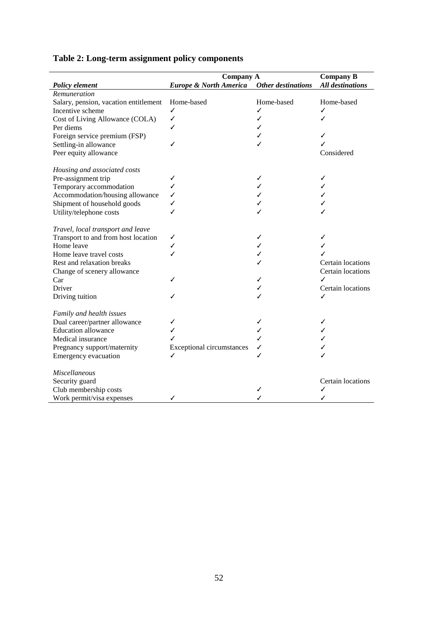|                                       | <b>Company A</b>                  | <b>Company B</b>   |                         |
|---------------------------------------|-----------------------------------|--------------------|-------------------------|
| <b>Policy element</b>                 | <b>Europe &amp; North America</b> | Other destinations | <b>All destinations</b> |
| Remuneration                          |                                   |                    |                         |
| Salary, pension, vacation entitlement | Home-based                        | Home-based         | Home-based              |
| Incentive scheme                      | ✓                                 | ✓                  | ✓                       |
| Cost of Living Allowance (COLA)       | $\checkmark$                      | ✓                  | ✓                       |
| Per diems                             | ✓                                 | ✓                  |                         |
| Foreign service premium (FSP)         |                                   | ✓                  | ✓                       |
| Settling-in allowance                 | ✓                                 | ✓                  |                         |
| Peer equity allowance                 |                                   |                    | Considered              |
| Housing and associated costs          |                                   |                    |                         |
| Pre-assignment trip                   | ✓                                 | ✓                  | ✓                       |
| Temporary accommodation               | ✓                                 | ✓                  | ℐ                       |
| Accommodation/housing allowance       | ✓                                 | ✓                  |                         |
| Shipment of household goods           | ✓                                 | ✓                  | ✓                       |
| Utility/telephone costs               | ✓                                 | ✓                  | ✓                       |
| Travel, local transport and leave     |                                   |                    |                         |
| Transport to and from host location   | ✓                                 | ✓                  | ✓                       |
| Home leave                            | ✓                                 | ✓                  |                         |
| Home leave travel costs               | ✓                                 |                    |                         |
| Rest and relaxation breaks            |                                   |                    | Certain locations       |
| Change of scenery allowance           |                                   |                    | Certain locations       |
| Car                                   | ✓                                 | ✓                  | ℐ                       |
| Driver                                |                                   |                    | Certain locations       |
| Driving tuition                       | ✓                                 | ∕                  |                         |
| Family and health issues              |                                   |                    |                         |
| Dual career/partner allowance         | ✓                                 | ✓                  | ✓                       |
| <b>Education allowance</b>            | ✓                                 | ✓                  | ℐ                       |
| Medical insurance                     | ℐ                                 | ✓                  |                         |
| Pregnancy support/maternity           | <b>Exceptional circumstances</b>  | ✓                  |                         |
| Emergency evacuation                  | ✓                                 | ✓                  |                         |
| Miscellaneous                         |                                   |                    |                         |
| Security guard                        |                                   |                    | Certain locations       |
| Club membership costs                 |                                   | ✓                  | ✓                       |
| Work permit/visa expenses             | ✓                                 | ✓                  | ✓                       |

# **Table 2: Long-term assignment policy components**